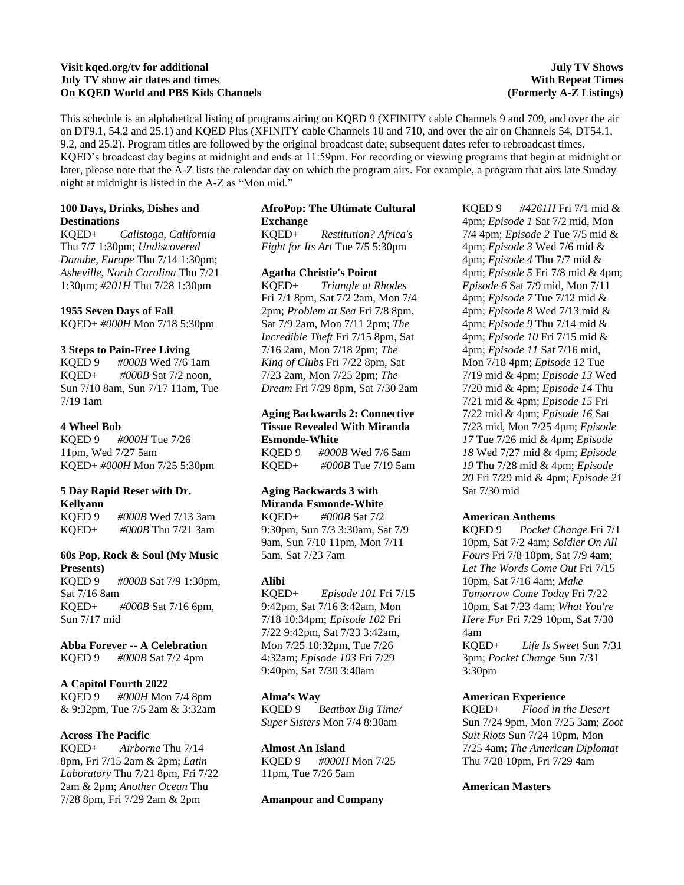## **Visit kqed.org/tv for additional July TV show air dates and times On KQED World and PBS Kids Channels**

## **July TV Shows With Repeat Times (Formerly A-Z Listings)**

This schedule is an alphabetical listing of programs airing on KQED 9 (XFINITY cable Channels 9 and 709, and over the air on DT9.1, 54.2 and 25.1) and KQED Plus (XFINITY cable Channels 10 and 710, and over the air on Channels 54, DT54.1, 9.2, and 25.2). Program titles are followed by the original broadcast date; subsequent dates refer to rebroadcast times. KQED's broadcast day begins at midnight and ends at 11:59pm. For recording or viewing programs that begin at midnight or later, please note that the A-Z lists the calendar day on which the program airs. For example, a program that airs late Sunday night at midnight is listed in the A-Z as "Mon mid."

## **100 Days, Drinks, Dishes and Destinations**

KQED+ *Calistoga, California* Thu 7/7 1:30pm; *Undiscovered Danube, Europe* Thu 7/14 1:30pm; *Asheville, North Carolina* Thu 7/21 1:30pm; *#201H* Thu 7/28 1:30pm

## **1955 Seven Days of Fall**

KQED+ *#000H* Mon 7/18 5:30pm

## **3 Steps to Pain-Free Living**

KQED 9 *#000B* Wed 7/6 1am KQED+ *#000B* Sat 7/2 noon, Sun 7/10 8am, Sun 7/17 11am, Tue 7/19 1am

## **4 Wheel Bob**

KQED 9 *#000H* Tue 7/26 11pm, Wed 7/27 5am KQED+ *#000H* Mon 7/25 5:30pm

## **5 Day Rapid Reset with Dr. Kellyann**

KQED 9 *#000B* Wed 7/13 3am KQED+ *#000B* Thu 7/21 3am

## **60s Pop, Rock & Soul (My Music Presents)**

KQED 9 *#000B* Sat 7/9 1:30pm, Sat 7/16 8am KQED+ *#000B* Sat 7/16 6pm, Sun 7/17 mid

## **Abba Forever -- A Celebration**

KQED 9 *#000B* Sat 7/2 4pm

## **A Capitol Fourth 2022**

KQED 9 *#000H* Mon 7/4 8pm & 9:32pm, Tue 7/5 2am & 3:32am

## **Across The Pacific**

KQED+ *Airborne* Thu 7/14 8pm, Fri 7/15 2am & 2pm; *Latin Laboratory* Thu 7/21 8pm, Fri 7/22 2am & 2pm; *Another Ocean* Thu 7/28 8pm, Fri 7/29 2am & 2pm

## **AfroPop: The Ultimate Cultural Exchange**

KQED+ *Restitution? Africa's Fight for Its Art* Tue 7/5 5:30pm

## **Agatha Christie's Poirot**

KQED+ *Triangle at Rhodes* Fri 7/1 8pm, Sat 7/2 2am, Mon 7/4 2pm; *Problem at Sea* Fri 7/8 8pm, Sat 7/9 2am, Mon 7/11 2pm; *The Incredible Theft* Fri 7/15 8pm, Sat 7/16 2am, Mon 7/18 2pm; *The King of Clubs* Fri 7/22 8pm, Sat 7/23 2am, Mon 7/25 2pm; *The Dream* Fri 7/29 8pm, Sat 7/30 2am

## **Aging Backwards 2: Connective Tissue Revealed With Miranda Esmonde-White**

KQED 9 *#000B* Wed 7/6 5am KQED+ *#000B* Tue 7/19 5am

# **Aging Backwards 3 with Miranda Esmonde-White**

KQED+ *#000B* Sat 7/2 9:30pm, Sun 7/3 3:30am, Sat 7/9 9am, Sun 7/10 11pm, Mon 7/11 5am, Sat 7/23 7am

## **Alibi**

KQED+ *Episode 101* Fri 7/15 9:42pm, Sat 7/16 3:42am, Mon 7/18 10:34pm; *Episode 102* Fri 7/22 9:42pm, Sat 7/23 3:42am, Mon 7/25 10:32pm, Tue 7/26 4:32am; *Episode 103* Fri 7/29 9:40pm, Sat 7/30 3:40am

## **Alma's Way**

KQED 9 *Beatbox Big Time/ Super Sisters* Mon 7/4 8:30am

## **Almost An Island**

KQED 9 *#000H* Mon 7/25 11pm, Tue 7/26 5am

## **Amanpour and Company**

KQED 9 *#4261H* Fri 7/1 mid & 4pm; *Episode 1* Sat 7/2 mid, Mon 7/4 4pm; *Episode 2* Tue 7/5 mid & 4pm; *Episode 3* Wed 7/6 mid & 4pm; *Episode 4* Thu 7/7 mid & 4pm; *Episode 5* Fri 7/8 mid & 4pm; *Episode 6* Sat 7/9 mid, Mon 7/11 4pm; *Episode 7* Tue 7/12 mid & 4pm; *Episode 8* Wed 7/13 mid & 4pm; *Episode 9* Thu 7/14 mid & 4pm; *Episode 10* Fri 7/15 mid & 4pm; *Episode 11* Sat 7/16 mid, Mon 7/18 4pm; *Episode 12* Tue 7/19 mid & 4pm; *Episode 13* Wed 7/20 mid & 4pm; *Episode 14* Thu 7/21 mid & 4pm; *Episode 15* Fri 7/22 mid & 4pm; *Episode 16* Sat 7/23 mid, Mon 7/25 4pm; *Episode 17* Tue 7/26 mid & 4pm; *Episode 18* Wed 7/27 mid & 4pm; *Episode 19* Thu 7/28 mid & 4pm; *Episode 20* Fri 7/29 mid & 4pm; *Episode 21* Sat 7/30 mid

## **American Anthems**

KQED 9 *Pocket Change* Fri 7/1 10pm, Sat 7/2 4am; *Soldier On All Fours* Fri 7/8 10pm, Sat 7/9 4am; *Let The Words Come Out* Fri 7/15 10pm, Sat 7/16 4am; *Make Tomorrow Come Today* Fri 7/22 10pm, Sat 7/23 4am; *What You're Here For* Fri 7/29 10pm, Sat 7/30 4am KQED+ *Life Is Sweet* Sun 7/31 3pm; *Pocket Change* Sun 7/31 3:30pm

#### **American Experience**

KQED+ *Flood in the Desert* Sun 7/24 9pm, Mon 7/25 3am; *Zoot Suit Riots* Sun 7/24 10pm, Mon 7/25 4am; *The American Diplomat* Thu 7/28 10pm, Fri 7/29 4am

#### **American Masters**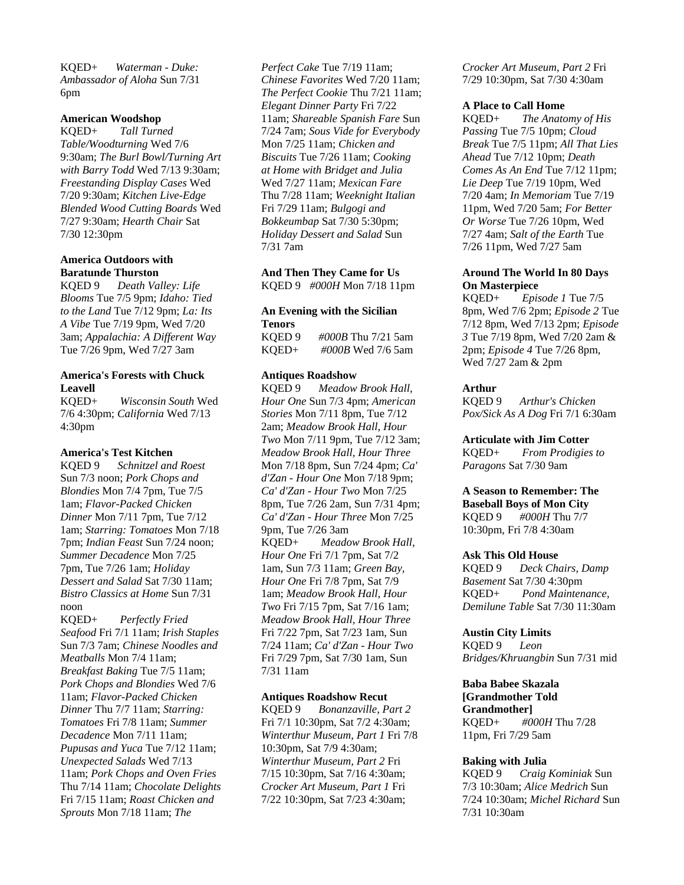KQED+ *Waterman - Duke: Ambassador of Aloha* Sun 7/31 6pm

## **American Woodshop**

KQED+ *Tall Turned Table/Woodturning* Wed 7/6 9:30am; *The Burl Bowl/Turning Art with Barry Todd* Wed 7/13 9:30am; *Freestanding Display Cases* Wed 7/20 9:30am; *Kitchen Live-Edge Blended Wood Cutting Boards* Wed 7/27 9:30am; *Hearth Chair* Sat 7/30 12:30pm

## **America Outdoors with Baratunde Thurston**

KQED 9 *Death Valley: Life Blooms* Tue 7/5 9pm; *Idaho: Tied to the Land* Tue 7/12 9pm; *La: Its A Vibe* Tue 7/19 9pm, Wed 7/20 3am; *Appalachia: A Different Way* Tue 7/26 9pm, Wed 7/27 3am

## **America's Forests with Chuck Leavell**

KQED+ *Wisconsin South* Wed 7/6 4:30pm; *California* Wed 7/13 4:30pm

## **America's Test Kitchen**

KQED 9 *Schnitzel and Roest* Sun 7/3 noon; *Pork Chops and Blondies* Mon 7/4 7pm, Tue 7/5 1am; *Flavor-Packed Chicken Dinner* Mon 7/11 7pm, Tue 7/12 1am; *Starring: Tomatoes* Mon 7/18 7pm; *Indian Feast* Sun 7/24 noon; *Summer Decadence* Mon 7/25 7pm, Tue 7/26 1am; *Holiday Dessert and Salad* Sat 7/30 11am; *Bistro Classics at Home* Sun 7/31 noon

KQED+ *Perfectly Fried Seafood* Fri 7/1 11am; *Irish Staples* Sun 7/3 7am; *Chinese Noodles and Meatballs* Mon 7/4 11am; *Breakfast Baking* Tue 7/5 11am; *Pork Chops and Blondies* Wed 7/6 11am; *Flavor-Packed Chicken Dinner* Thu 7/7 11am; *Starring: Tomatoes* Fri 7/8 11am; *Summer Decadence* Mon 7/11 11am; *Pupusas and Yuca* Tue 7/12 11am; *Unexpected Salads* Wed 7/13 11am; *Pork Chops and Oven Fries* Thu 7/14 11am; *Chocolate Delights* Fri 7/15 11am; *Roast Chicken and Sprouts* Mon 7/18 11am; *The* 

*Perfect Cake* Tue 7/19 11am; *Chinese Favorites* Wed 7/20 11am; *The Perfect Cookie* Thu 7/21 11am; *Elegant Dinner Party* Fri 7/22 11am; *Shareable Spanish Fare* Sun 7/24 7am; *Sous Vide for Everybody* Mon 7/25 11am; *Chicken and Biscuits* Tue 7/26 11am; *Cooking at Home with Bridget and Julia* Wed 7/27 11am; *Mexican Fare* Thu 7/28 11am; *Weeknight Italian* Fri 7/29 11am; *Bulgogi and Bokkeumbap* Sat 7/30 5:30pm; *Holiday Dessert and Salad* Sun 7/31 7am

#### **And Then They Came for Us** KQED 9 *#000H* Mon 7/18 11pm

#### **An Evening with the Sicilian Tenors**

KQED 9 *#000B* Thu 7/21 5am KQED+ *#000B* Wed 7/6 5am

## **Antiques Roadshow**

KQED 9 *Meadow Brook Hall, Hour One* Sun 7/3 4pm; *American Stories* Mon 7/11 8pm, Tue 7/12 2am; *Meadow Brook Hall, Hour Two* Mon 7/11 9pm, Tue 7/12 3am; *Meadow Brook Hall, Hour Three* Mon 7/18 8pm, Sun 7/24 4pm; *Ca' d'Zan - Hour One* Mon 7/18 9pm; *Ca' d'Zan - Hour Two* Mon 7/25 8pm, Tue 7/26 2am, Sun 7/31 4pm; *Ca' d'Zan - Hour Three* Mon 7/25 9pm, Tue 7/26 3am KQED+ *Meadow Brook Hall, Hour One* Fri 7/1 7pm, Sat 7/2 1am, Sun 7/3 11am; *Green Bay, Hour One* Fri 7/8 7pm, Sat 7/9 1am; *Meadow Brook Hall, Hour Two* Fri 7/15 7pm, Sat 7/16 1am; *Meadow Brook Hall, Hour Three* Fri 7/22 7pm, Sat 7/23 1am, Sun 7/24 11am; *Ca' d'Zan - Hour Two* Fri 7/29 7pm, Sat 7/30 1am, Sun 7/31 11am

## **Antiques Roadshow Recut**

KQED 9 *Bonanzaville, Part 2* Fri 7/1 10:30pm, Sat 7/2 4:30am; *Winterthur Museum, Part 1* Fri 7/8 10:30pm, Sat 7/9 4:30am; *Winterthur Museum, Part 2* Fri 7/15 10:30pm, Sat 7/16 4:30am; *Crocker Art Museum, Part 1* Fri 7/22 10:30pm, Sat 7/23 4:30am;

*Crocker Art Museum, Part 2* Fri 7/29 10:30pm, Sat 7/30 4:30am

#### **A Place to Call Home**

KQED+ *The Anatomy of His Passing* Tue 7/5 10pm; *Cloud Break* Tue 7/5 11pm; *All That Lies Ahead* Tue 7/12 10pm; *Death Comes As An End* Tue 7/12 11pm; *Lie Deep* Tue 7/19 10pm, Wed 7/20 4am; *In Memoriam* Tue 7/19 11pm, Wed 7/20 5am; *For Better Or Worse* Tue 7/26 10pm, Wed 7/27 4am; *Salt of the Earth* Tue 7/26 11pm, Wed 7/27 5am

## **Around The World In 80 Days On Masterpiece**

KQED+ *Episode 1* Tue 7/5 8pm, Wed 7/6 2pm; *Episode 2* Tue 7/12 8pm, Wed 7/13 2pm; *Episode 3* Tue 7/19 8pm, Wed 7/20 2am & 2pm; *Episode 4* Tue 7/26 8pm, Wed 7/27 2am & 2pm

## **Arthur**

KQED 9 *Arthur's Chicken Pox/Sick As A Dog* Fri 7/1 6:30am

#### **Articulate with Jim Cotter**

KQED+ *From Prodigies to Paragons* Sat 7/30 9am

## **A Season to Remember: The Baseball Boys of Mon City** KQED 9 *#000H* Thu 7/7

10:30pm, Fri 7/8 4:30am

## **Ask This Old House**

KQED 9 *Deck Chairs, Damp Basement* Sat 7/30 4:30pm KQED+ *Pond Maintenance, Demilune Table* Sat 7/30 11:30am

## **Austin City Limits**

KQED 9 *Leon Bridges/Khruangbin* Sun 7/31 mid

## **Baba Babee Skazala [Grandmother Told Grandmother]** KQED+ *#000H* Thu 7/28

11pm, Fri 7/29 5am

## **Baking with Julia**

KQED 9 *Craig Kominiak* Sun 7/3 10:30am; *Alice Medrich* Sun 7/24 10:30am; *Michel Richard* Sun 7/31 10:30am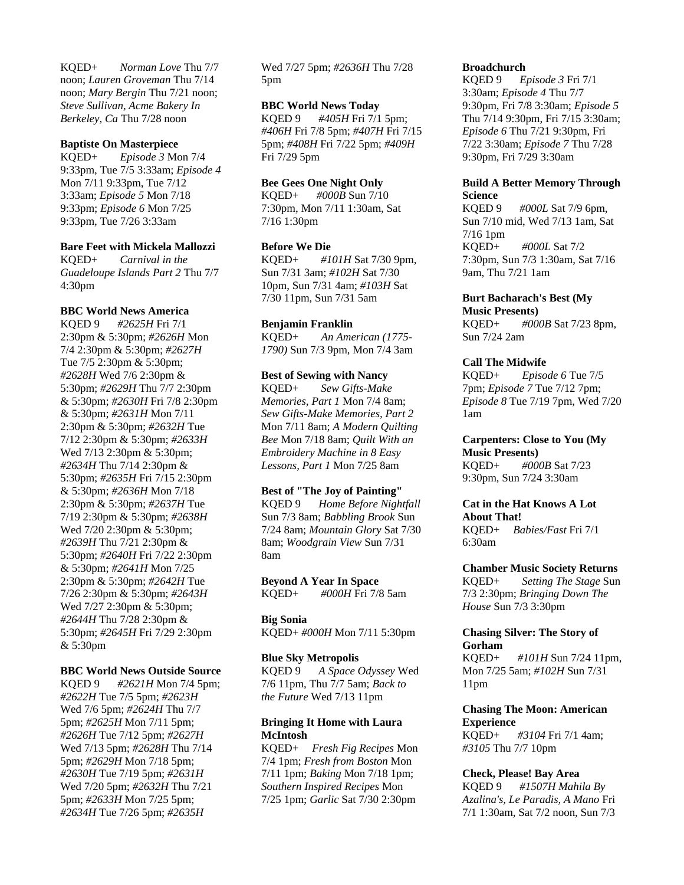KQED+ *Norman Love* Thu 7/7 noon; *Lauren Groveman* Thu 7/14 noon; *Mary Bergin* Thu 7/21 noon; *Steve Sullivan, Acme Bakery In Berkeley, Ca* Thu 7/28 noon

#### **Baptiste On Masterpiece**

KQED+ *Episode 3* Mon 7/4 9:33pm, Tue 7/5 3:33am; *Episode 4* Mon 7/11 9:33pm, Tue 7/12 3:33am; *Episode 5* Mon 7/18 9:33pm; *Episode 6* Mon 7/25 9:33pm, Tue 7/26 3:33am

## **Bare Feet with Mickela Mallozzi**

KQED+ *Carnival in the Guadeloupe Islands Part 2* Thu 7/7 4:30pm

## **BBC World News America**

KQED 9 *#2625H* Fri 7/1 2:30pm & 5:30pm; *#2626H* Mon 7/4 2:30pm & 5:30pm; *#2627H* Tue 7/5 2:30pm & 5:30pm; *#2628H* Wed 7/6 2:30pm & 5:30pm; *#2629H* Thu 7/7 2:30pm & 5:30pm; *#2630H* Fri 7/8 2:30pm & 5:30pm; *#2631H* Mon 7/11 2:30pm & 5:30pm; *#2632H* Tue 7/12 2:30pm & 5:30pm; *#2633H* Wed 7/13 2:30pm & 5:30pm; *#2634H* Thu 7/14 2:30pm & 5:30pm; *#2635H* Fri 7/15 2:30pm & 5:30pm; *#2636H* Mon 7/18 2:30pm & 5:30pm; *#2637H* Tue 7/19 2:30pm & 5:30pm; *#2638H* Wed 7/20 2:30pm & 5:30pm; *#2639H* Thu 7/21 2:30pm & 5:30pm; *#2640H* Fri 7/22 2:30pm & 5:30pm; *#2641H* Mon 7/25 2:30pm & 5:30pm; *#2642H* Tue 7/26 2:30pm & 5:30pm; *#2643H* Wed 7/27 2:30pm & 5:30pm; *#2644H* Thu 7/28 2:30pm & 5:30pm; *#2645H* Fri 7/29 2:30pm & 5:30pm

#### **BBC World News Outside Source**

KQED 9 *#2621H* Mon 7/4 5pm; *#2622H* Tue 7/5 5pm; *#2623H* Wed 7/6 5pm; *#2624H* Thu 7/7 5pm; *#2625H* Mon 7/11 5pm; *#2626H* Tue 7/12 5pm; *#2627H* Wed 7/13 5pm; *#2628H* Thu 7/14 5pm; *#2629H* Mon 7/18 5pm; *#2630H* Tue 7/19 5pm; *#2631H* Wed 7/20 5pm; *#2632H* Thu 7/21 5pm; *#2633H* Mon 7/25 5pm; *#2634H* Tue 7/26 5pm; *#2635H*

Wed 7/27 5pm; *#2636H* Thu 7/28 5pm

## **BBC World News Today**

KQED 9 *#405H* Fri 7/1 5pm; *#406H* Fri 7/8 5pm; *#407H* Fri 7/15 5pm; *#408H* Fri 7/22 5pm; *#409H* Fri 7/29 5pm

## **Bee Gees One Night Only**

KQED+ *#000B* Sun 7/10 7:30pm, Mon 7/11 1:30am, Sat 7/16 1:30pm

#### **Before We Die**

KQED+ *#101H* Sat 7/30 9pm, Sun 7/31 3am; *#102H* Sat 7/30 10pm, Sun 7/31 4am; *#103H* Sat 7/30 11pm, Sun 7/31 5am

#### **Benjamin Franklin**

KQED+ *An American (1775- 1790)* Sun 7/3 9pm, Mon 7/4 3am

## **Best of Sewing with Nancy**

KQED+ *Sew Gifts-Make Memories, Part 1* Mon 7/4 8am; *Sew Gifts-Make Memories, Part 2* Mon 7/11 8am; *A Modern Quilting Bee* Mon 7/18 8am; *Quilt With an Embroidery Machine in 8 Easy Lessons, Part 1* Mon 7/25 8am

## **Best of "The Joy of Painting"**

KQED 9 *Home Before Nightfall* Sun 7/3 8am; *Babbling Brook* Sun 7/24 8am; *Mountain Glory* Sat 7/30 8am; *Woodgrain View* Sun 7/31 8am

#### **Beyond A Year In Space** KQED+ *#000H* Fri 7/8 5am

**Big Sonia**

KQED+ *#000H* Mon 7/11 5:30pm

#### **Blue Sky Metropolis**

KQED 9 *A Space Odyssey* Wed 7/6 11pm, Thu 7/7 5am; *Back to the Future* Wed 7/13 11pm

## **Bringing It Home with Laura McIntosh**

KQED+ *Fresh Fig Recipes* Mon 7/4 1pm; *Fresh from Boston* Mon 7/11 1pm; *Baking* Mon 7/18 1pm; *Southern Inspired Recipes* Mon 7/25 1pm; *Garlic* Sat 7/30 2:30pm

#### **Broadchurch**

KQED 9 *Episode 3* Fri 7/1 3:30am; *Episode 4* Thu 7/7 9:30pm, Fri 7/8 3:30am; *Episode 5* Thu 7/14 9:30pm, Fri 7/15 3:30am; *Episode 6* Thu 7/21 9:30pm, Fri 7/22 3:30am; *Episode 7* Thu 7/28 9:30pm, Fri 7/29 3:30am

## **Build A Better Memory Through Science**

KQED 9 *#000L* Sat 7/9 6pm, Sun 7/10 mid, Wed 7/13 1am, Sat 7/16 1pm KQED+ *#000L* Sat 7/2 7:30pm, Sun 7/3 1:30am, Sat 7/16 9am, Thu 7/21 1am

**Burt Bacharach's Best (My Music Presents)** KQED+ *#000B* Sat 7/23 8pm, Sun 7/24 2am

#### **Call The Midwife**

KQED+ *Episode 6* Tue 7/5 7pm; *Episode 7* Tue 7/12 7pm; *Episode 8* Tue 7/19 7pm, Wed 7/20 1am

## **Carpenters: Close to You (My Music Presents)** KQED+ *#000B* Sat 7/23 9:30pm, Sun 7/24 3:30am

#### **Cat in the Hat Knows A Lot About That!**

KQED+ *Babies/Fast* Fri 7/1 6:30am

#### **Chamber Music Society Returns**

KQED+ *Setting The Stage* Sun 7/3 2:30pm; *Bringing Down The House* Sun 7/3 3:30pm

## **Chasing Silver: The Story of Gorham**

KQED+ *#101H* Sun 7/24 11pm, Mon 7/25 5am; *#102H* Sun 7/31 11pm

## **Chasing The Moon: American Experience**

KQED+ *#3104* Fri 7/1 4am; *#3105* Thu 7/7 10pm

## **Check, Please! Bay Area**

KQED 9 *#1507H Mahila By Azalina's, Le Paradis, A Mano* Fri 7/1 1:30am, Sat 7/2 noon, Sun 7/3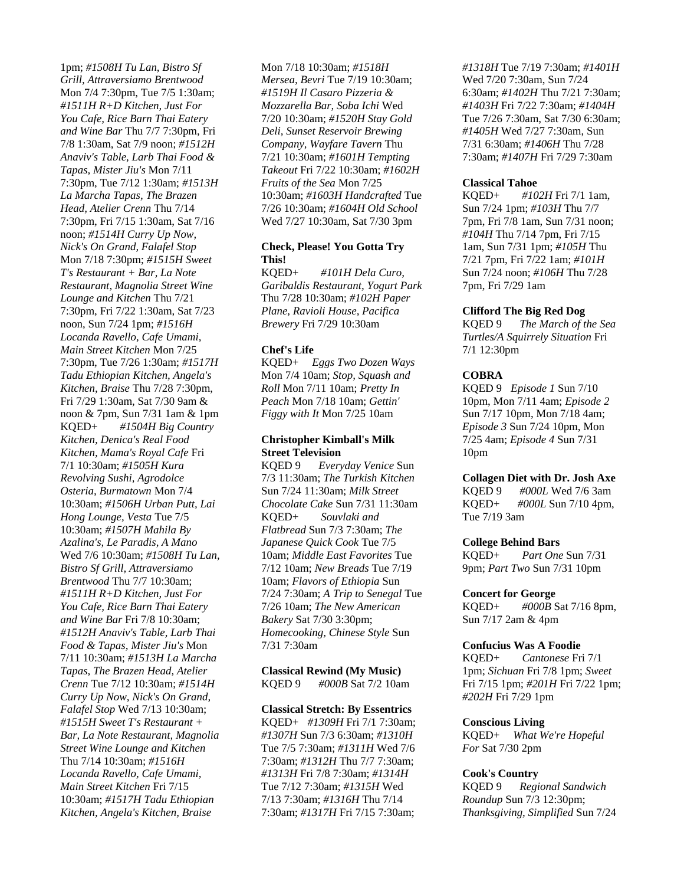1pm; *#1508H Tu Lan, Bistro Sf Grill, Attraversiamo Brentwood* Mon 7/4 7:30pm, Tue 7/5 1:30am; *#1511H R+D Kitchen, Just For You Cafe, Rice Barn Thai Eatery and Wine Bar* Thu 7/7 7:30pm, Fri 7/8 1:30am, Sat 7/9 noon; *#1512H Anaviv's Table, Larb Thai Food & Tapas, Mister Jiu's* Mon 7/11 7:30pm, Tue 7/12 1:30am; *#1513H La Marcha Tapas, The Brazen Head, Atelier Crenn* Thu 7/14 7:30pm, Fri 7/15 1:30am, Sat 7/16 noon; *#1514H Curry Up Now, Nick's On Grand, Falafel Stop* Mon 7/18 7:30pm; *#1515H Sweet T's Restaurant + Bar, La Note Restaurant, Magnolia Street Wine Lounge and Kitchen* Thu 7/21 7:30pm, Fri 7/22 1:30am, Sat 7/23 noon, Sun 7/24 1pm; *#1516H Locanda Ravello, Cafe Umami, Main Street Kitchen* Mon 7/25 7:30pm, Tue 7/26 1:30am; *#1517H Tadu Ethiopian Kitchen, Angela's Kitchen, Braise* Thu 7/28 7:30pm, Fri 7/29 1:30am, Sat 7/30 9am & noon & 7pm, Sun 7/31 1am & 1pm KQED+ *#1504H Big Country Kitchen, Denica's Real Food Kitchen, Mama's Royal Cafe* Fri 7/1 10:30am; *#1505H Kura Revolving Sushi, Agrodolce Osteria, Burmatown* Mon 7/4 10:30am; *#1506H Urban Putt, Lai Hong Lounge, Vesta* Tue 7/5 10:30am; *#1507H Mahila By Azalina's, Le Paradis, A Mano* Wed 7/6 10:30am; *#1508H Tu Lan, Bistro Sf Grill, Attraversiamo Brentwood* Thu 7/7 10:30am; *#1511H R+D Kitchen, Just For You Cafe, Rice Barn Thai Eatery and Wine Bar* Fri 7/8 10:30am; *#1512H Anaviv's Table, Larb Thai Food & Tapas, Mister Jiu's* Mon 7/11 10:30am; *#1513H La Marcha Tapas, The Brazen Head, Atelier Crenn* Tue 7/12 10:30am; *#1514H Curry Up Now, Nick's On Grand, Falafel Stop* Wed 7/13 10:30am; *#1515H Sweet T's Restaurant + Bar, La Note Restaurant, Magnolia Street Wine Lounge and Kitchen* Thu 7/14 10:30am; *#1516H Locanda Ravello, Cafe Umami, Main Street Kitchen* Fri 7/15 10:30am; *#1517H Tadu Ethiopian Kitchen, Angela's Kitchen, Braise*

Mon 7/18 10:30am; *#1518H Mersea, Bevri* Tue 7/19 10:30am; *#1519H Il Casaro Pizzeria & Mozzarella Bar, Soba Ichi* Wed 7/20 10:30am; *#1520H Stay Gold Deli, Sunset Reservoir Brewing Company, Wayfare Tavern* Thu 7/21 10:30am; *#1601H Tempting Takeout* Fri 7/22 10:30am; *#1602H Fruits of the Sea* Mon 7/25 10:30am; *#1603H Handcrafted* Tue 7/26 10:30am; *#1604H Old School* Wed 7/27 10:30am, Sat 7/30 3pm

## **Check, Please! You Gotta Try This!**

KQED+ *#101H Dela Curo, Garibaldis Restaurant, Yogurt Park* Thu 7/28 10:30am; *#102H Paper Plane, Ravioli House, Pacifica Brewery* Fri 7/29 10:30am

## **Chef's Life**

KQED+ *Eggs Two Dozen Ways* Mon 7/4 10am; *Stop, Squash and Roll* Mon 7/11 10am; *Pretty In Peach* Mon 7/18 10am; *Gettin' Figgy with It* Mon 7/25 10am

## **Christopher Kimball's Milk Street Television**

KQED 9 *Everyday Venice* Sun 7/3 11:30am; *The Turkish Kitchen* Sun 7/24 11:30am; *Milk Street Chocolate Cake* Sun 7/31 11:30am KQED+ *Souvlaki and Flatbread* Sun 7/3 7:30am; *The Japanese Quick Cook* Tue 7/5 10am; *Middle East Favorites* Tue 7/12 10am; *New Breads* Tue 7/19 10am; *Flavors of Ethiopia* Sun 7/24 7:30am; *A Trip to Senegal* Tue 7/26 10am; *The New American Bakery* Sat 7/30 3:30pm; *Homecooking, Chinese Style* Sun 7/31 7:30am

**Classical Rewind (My Music)** KQED 9 *#000B* Sat 7/2 10am

## **Classical Stretch: By Essentrics**

KQED+ *#1309H* Fri 7/1 7:30am; *#1307H* Sun 7/3 6:30am; *#1310H* Tue 7/5 7:30am; *#1311H* Wed 7/6 7:30am; *#1312H* Thu 7/7 7:30am; *#1313H* Fri 7/8 7:30am; *#1314H* Tue 7/12 7:30am; *#1315H* Wed 7/13 7:30am; *#1316H* Thu 7/14 7:30am; *#1317H* Fri 7/15 7:30am;

*#1318H* Tue 7/19 7:30am; *#1401H* Wed 7/20 7:30am, Sun 7/24 6:30am; *#1402H* Thu 7/21 7:30am; *#1403H* Fri 7/22 7:30am; *#1404H* Tue 7/26 7:30am, Sat 7/30 6:30am; *#1405H* Wed 7/27 7:30am, Sun 7/31 6:30am; *#1406H* Thu 7/28 7:30am; *#1407H* Fri 7/29 7:30am

## **Classical Tahoe**

KQED+ *#102H* Fri 7/1 1am, Sun 7/24 1pm; *#103H* Thu 7/7 7pm, Fri 7/8 1am, Sun 7/31 noon; *#104H* Thu 7/14 7pm, Fri 7/15 1am, Sun 7/31 1pm; *#105H* Thu 7/21 7pm, Fri 7/22 1am; *#101H* Sun 7/24 noon; *#106H* Thu 7/28 7pm, Fri 7/29 1am

## **Clifford The Big Red Dog**

KQED 9 *The March of the Sea Turtles/A Squirrely Situation* Fri 7/1 12:30pm

## **COBRA**

KQED 9 *Episode 1* Sun 7/10 10pm, Mon 7/11 4am; *Episode 2* Sun 7/17 10pm, Mon 7/18 4am; *Episode 3* Sun 7/24 10pm, Mon 7/25 4am; *Episode 4* Sun 7/31 10pm

**Collagen Diet with Dr. Josh Axe** KQED 9 *#000L* Wed 7/6 3am KQED+ *#000L* Sun 7/10 4pm, Tue 7/19 3am

## **College Behind Bars**

KQED+ *Part One* Sun 7/31 9pm; *Part Two* Sun 7/31 10pm

## **Concert for George**

KQED+ *#000B* Sat 7/16 8pm, Sun 7/17 2am & 4pm

## **Confucius Was A Foodie**

KQED+ *Cantonese* Fri 7/1 1pm; *Sichuan* Fri 7/8 1pm; *Sweet* Fri 7/15 1pm; *#201H* Fri 7/22 1pm; *#202H* Fri 7/29 1pm

## **Conscious Living**

KQED+ *What We're Hopeful For* Sat 7/30 2pm

## **Cook's Country**

KQED 9 *Regional Sandwich Roundup* Sun 7/3 12:30pm; *Thanksgiving, Simplified* Sun 7/24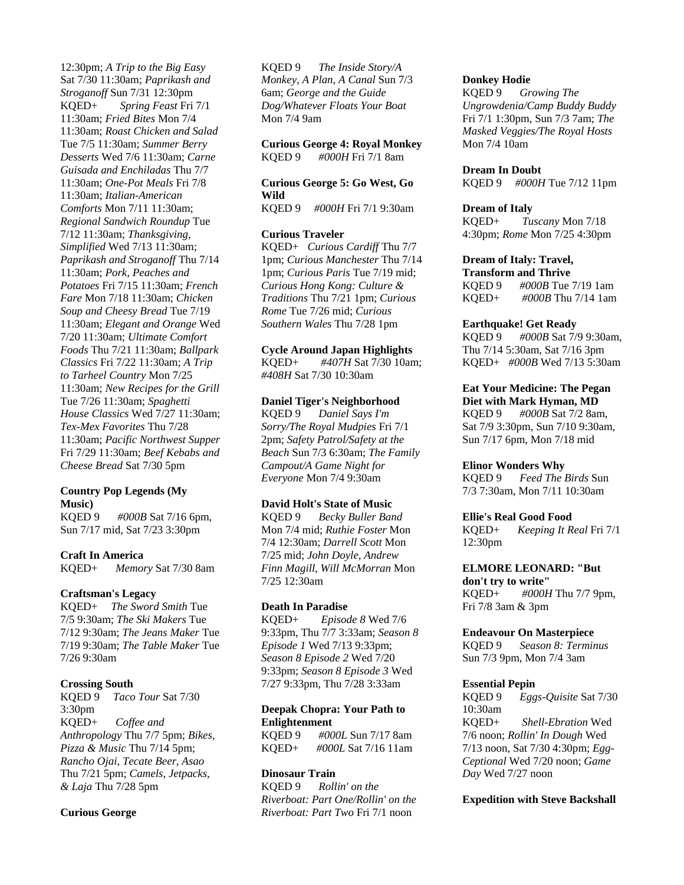12:30pm; *A Trip to the Big Easy* Sat 7/30 11:30am; *Paprikash and Stroganoff* Sun 7/31 12:30pm KQED+ *Spring Feast* Fri 7/1 11:30am; *Fried Bites* Mon 7/4 11:30am; *Roast Chicken and Salad* Tue 7/5 11:30am; *Summer Berry Desserts* Wed 7/6 11:30am; *Carne Guisada and Enchiladas* Thu 7/7 11:30am; *One-Pot Meals* Fri 7/8 11:30am; *Italian-American Comforts* Mon 7/11 11:30am; *Regional Sandwich Roundup* Tue 7/12 11:30am; *Thanksgiving, Simplified* Wed 7/13 11:30am; *Paprikash and Stroganoff* Thu 7/14 11:30am; *Pork, Peaches and Potatoes* Fri 7/15 11:30am; *French Fare* Mon 7/18 11:30am; *Chicken Soup and Cheesy Bread* Tue 7/19 11:30am; *Elegant and Orange* Wed 7/20 11:30am; *Ultimate Comfort Foods* Thu 7/21 11:30am; *Ballpark Classics* Fri 7/22 11:30am; *A Trip to Tarheel Country* Mon 7/25 11:30am; *New Recipes for the Grill* Tue 7/26 11:30am; *Spaghetti House Classics* Wed 7/27 11:30am; *Tex-Mex Favorites* Thu 7/28 11:30am; *Pacific Northwest Supper* Fri 7/29 11:30am; *Beef Kebabs and Cheese Bread* Sat 7/30 5pm

## **Country Pop Legends (My Music)**

KQED 9 *#000B* Sat 7/16 6pm, Sun 7/17 mid, Sat 7/23 3:30pm

## **Craft In America**

KQED+ *Memory* Sat 7/30 8am

## **Craftsman's Legacy**

KQED+ *The Sword Smith* Tue 7/5 9:30am; *The Ski Makers* Tue 7/12 9:30am; *The Jeans Maker* Tue 7/19 9:30am; *The Table Maker* Tue 7/26 9:30am

## **Crossing South**

KQED 9 *Taco Tour* Sat 7/30 3:30pm KQED+ *Coffee and Anthropology* Thu 7/7 5pm; *Bikes, Pizza & Music* Thu 7/14 5pm; *Rancho Ojai, Tecate Beer, Asao* Thu 7/21 5pm; *Camels, Jetpacks, & Laja* Thu 7/28 5pm

## **Curious George**

KQED 9 *The Inside Story/A Monkey, A Plan, A Canal* Sun 7/3 6am; *George and the Guide Dog/Whatever Floats Your Boat* Mon 7/4 9am

#### **Curious George 4: Royal Monkey**

KQED 9 *#000H* Fri 7/1 8am

## **Curious George 5: Go West, Go Wild**

KQED 9 *#000H* Fri 7/1 9:30am

#### **Curious Traveler**

KQED+ *Curious Cardiff* Thu 7/7 1pm; *Curious Manchester* Thu 7/14 1pm; *Curious Paris* Tue 7/19 mid; *Curious Hong Kong: Culture & Traditions* Thu 7/21 1pm; *Curious Rome* Tue 7/26 mid; *Curious Southern Wales* Thu 7/28 1pm

## **Cycle Around Japan Highlights**

KQED+ *#407H* Sat 7/30 10am; *#408H* Sat 7/30 10:30am

#### **Daniel Tiger's Neighborhood**

KQED 9 *Daniel Says I'm Sorry/The Royal Mudpies* Fri 7/1 2pm; *Safety Patrol/Safety at the Beach* Sun 7/3 6:30am; *The Family Campout/A Game Night for Everyone* Mon 7/4 9:30am

## **David Holt's State of Music**

KQED 9 *Becky Buller Band* Mon 7/4 mid; *Ruthie Foster* Mon 7/4 12:30am; *Darrell Scott* Mon 7/25 mid; *John Doyle, Andrew Finn Magill, Will McMorran* Mon 7/25 12:30am

#### **Death In Paradise**

KQED+ *Episode 8* Wed 7/6 9:33pm, Thu 7/7 3:33am; *Season 8 Episode 1* Wed 7/13 9:33pm; *Season 8 Episode 2* Wed 7/20 9:33pm; *Season 8 Episode 3* Wed 7/27 9:33pm, Thu 7/28 3:33am

## **Deepak Chopra: Your Path to Enlightenment**

KQED 9 *#000L* Sun 7/17 8am KQED+ *#000L* Sat 7/16 11am

## **Dinosaur Train**

KQED 9 *Rollin' on the Riverboat: Part One/Rollin' on the Riverboat: Part Two* Fri 7/1 noon

## **Donkey Hodie**

KQED 9 *Growing The Ungrowdenia/Camp Buddy Buddy* Fri 7/1 1:30pm, Sun 7/3 7am; *The Masked Veggies/The Royal Hosts* Mon 7/4 10am

#### **Dream In Doubt**

KQED 9 *#000H* Tue 7/12 11pm

#### **Dream of Italy**

KQED+ *Tuscany* Mon 7/18 4:30pm; *Rome* Mon 7/25 4:30pm

## **Dream of Italy: Travel,**

**Transform and Thrive** KQED 9 *#000B* Tue 7/19 1am KQED+ *#000B* Thu 7/14 1am

#### **Earthquake! Get Ready**

KQED 9 *#000B* Sat 7/9 9:30am, Thu 7/14 5:30am, Sat 7/16 3pm KQED+ *#000B* Wed 7/13 5:30am

**Eat Your Medicine: The Pegan Diet with Mark Hyman, MD** KQED 9 *#000B* Sat 7/2 8am, Sat 7/9 3:30pm, Sun 7/10 9:30am, Sun 7/17 6pm, Mon 7/18 mid

#### **Elinor Wonders Why**

KQED 9 *Feed The Birds* Sun 7/3 7:30am, Mon 7/11 10:30am

#### **Ellie's Real Good Food**

KQED+ *Keeping It Real* Fri 7/1 12:30pm

## **ELMORE LEONARD: "But**

**don't try to write"** KQED+ *#000H* Thu 7/7 9pm, Fri 7/8 3am & 3pm

#### **Endeavour On Masterpiece**

KQED 9 *Season 8: Terminus* Sun 7/3 9pm, Mon 7/4 3am

#### **Essential Pepin**

KQED 9 *Eggs-Quisite* Sat 7/30 10:30am KQED+ *Shell-Ebration* Wed 7/6 noon; *Rollin' In Dough* Wed 7/13 noon, Sat 7/30 4:30pm; *Egg-Ceptional* Wed 7/20 noon; *Game Day* Wed 7/27 noon

## **Expedition with Steve Backshall**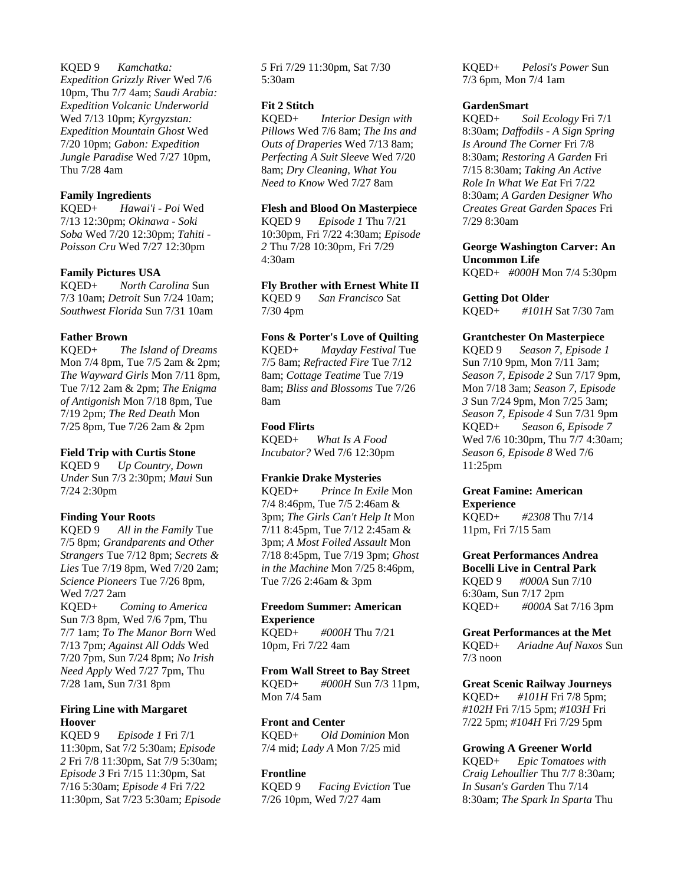KQED 9 *Kamchatka: Expedition Grizzly River* Wed 7/6 10pm, Thu 7/7 4am; *Saudi Arabia: Expedition Volcanic Underworld* Wed 7/13 10pm; *Kyrgyzstan: Expedition Mountain Ghost* Wed 7/20 10pm; *Gabon: Expedition Jungle Paradise* Wed 7/27 10pm, Thu 7/28 4am

## **Family Ingredients**

KQED+ *Hawai'i - Poi* Wed 7/13 12:30pm; *Okinawa - Soki Soba* Wed 7/20 12:30pm; *Tahiti - Poisson Cru* Wed 7/27 12:30pm

## **Family Pictures USA**

KQED+ *North Carolina* Sun 7/3 10am; *Detroit* Sun 7/24 10am; *Southwest Florida* Sun 7/31 10am

## **Father Brown**

KQED+ *The Island of Dreams* Mon 7/4 8pm, Tue 7/5 2am & 2pm; *The Wayward Girls* Mon 7/11 8pm, Tue 7/12 2am & 2pm; *The Enigma of Antigonish* Mon 7/18 8pm, Tue 7/19 2pm; *The Red Death* Mon 7/25 8pm, Tue 7/26 2am & 2pm

## **Field Trip with Curtis Stone**

KQED 9 *Up Country, Down Under* Sun 7/3 2:30pm; *Maui* Sun 7/24 2:30pm

## **Finding Your Roots**

KQED 9 *All in the Family* Tue 7/5 8pm; *Grandparents and Other Strangers* Tue 7/12 8pm; *Secrets & Lies* Tue 7/19 8pm, Wed 7/20 2am; *Science Pioneers* Tue 7/26 8pm, Wed 7/27 2am KQED+ *Coming to America* Sun 7/3 8pm, Wed 7/6 7pm, Thu 7/7 1am; *To The Manor Born* Wed 7/13 7pm; *Against All Odds* Wed 7/20 7pm, Sun 7/24 8pm; *No Irish Need Apply* Wed 7/27 7pm, Thu 7/28 1am, Sun 7/31 8pm

## **Firing Line with Margaret Hoover**

KQED 9 *Episode 1* Fri 7/1 11:30pm, Sat 7/2 5:30am; *Episode 2* Fri 7/8 11:30pm, Sat 7/9 5:30am; *Episode 3* Fri 7/15 11:30pm, Sat 7/16 5:30am; *Episode 4* Fri 7/22 11:30pm, Sat 7/23 5:30am; *Episode* 

*5* Fri 7/29 11:30pm, Sat 7/30 5:30am

## **Fit 2 Stitch**

KQED+ *Interior Design with Pillows* Wed 7/6 8am; *The Ins and Outs of Draperies* Wed 7/13 8am; *Perfecting A Suit Sleeve* Wed 7/20 8am; *Dry Cleaning, What You Need to Know* Wed 7/27 8am

## **Flesh and Blood On Masterpiece**

KQED 9 *Episode 1* Thu 7/21 10:30pm, Fri 7/22 4:30am; *Episode 2* Thu 7/28 10:30pm, Fri 7/29 4:30am

## **Fly Brother with Ernest White II**

KQED 9 *San Francisco* Sat 7/30 4pm

## **Fons & Porter's Love of Quilting**

KQED+ *Mayday Festival* Tue 7/5 8am; *Refracted Fire* Tue 7/12 8am; *Cottage Teatime* Tue 7/19 8am; *Bliss and Blossoms* Tue 7/26 8am

## **Food Flirts**

KQED+ *What Is A Food Incubator?* Wed 7/6 12:30pm

## **Frankie Drake Mysteries**

KQED+ *Prince In Exile* Mon 7/4 8:46pm, Tue 7/5 2:46am & 3pm; *The Girls Can't Help It* Mon 7/11 8:45pm, Tue 7/12 2:45am & 3pm; *A Most Foiled Assault* Mon 7/18 8:45pm, Tue 7/19 3pm; *Ghost in the Machine* Mon 7/25 8:46pm, Tue 7/26 2:46am & 3pm

## **Freedom Summer: American Experience**

KQED+ *#000H* Thu 7/21 10pm, Fri 7/22 4am

# **From Wall Street to Bay Street**

KQED+ *#000H* Sun 7/3 11pm, Mon 7/4 5am

## **Front and Center**

KQED+ *Old Dominion* Mon 7/4 mid; *Lady A* Mon 7/25 mid

## **Frontline**

KQED 9 *Facing Eviction* Tue 7/26 10pm, Wed 7/27 4am

KQED+ *Pelosi's Power* Sun 7/3 6pm, Mon 7/4 1am

## **GardenSmart**

KQED+ *Soil Ecology* Fri 7/1 8:30am; *Daffodils - A Sign Spring Is Around The Corner* Fri 7/8 8:30am; *Restoring A Garden* Fri 7/15 8:30am; *Taking An Active Role In What We Eat* Fri 7/22 8:30am; *A Garden Designer Who Creates Great Garden Spaces* Fri 7/29 8:30am

## **George Washington Carver: An Uncommon Life**

KQED+ *#000H* Mon 7/4 5:30pm

## **Getting Dot Older**

KQED+ *#101H* Sat 7/30 7am

## **Grantchester On Masterpiece**

KQED 9 *Season 7, Episode 1* Sun 7/10 9pm, Mon 7/11 3am; *Season 7, Episode 2* Sun 7/17 9pm, Mon 7/18 3am; *Season 7, Episode 3* Sun 7/24 9pm, Mon 7/25 3am; *Season 7, Episode 4* Sun 7/31 9pm KQED+ *Season 6, Episode 7* Wed 7/6 10:30pm, Thu 7/7 4:30am; *Season 6, Episode 8* Wed 7/6 11:25pm

#### **Great Famine: American Experience**

KQED+ *#2308* Thu 7/14 11pm, Fri 7/15 5am

#### **Great Performances Andrea Bocelli Live in Central Park**

KQED 9 *#000A* Sun 7/10 6:30am, Sun 7/17 2pm KQED+ *#000A* Sat 7/16 3pm

## **Great Performances at the Met**

KQED+ *Ariadne Auf Naxos* Sun 7/3 noon

## **Great Scenic Railway Journeys**

KQED+ *#101H* Fri 7/8 5pm; *#102H* Fri 7/15 5pm; *#103H* Fri 7/22 5pm; *#104H* Fri 7/29 5pm

## **Growing A Greener World**

KQED+ *Epic Tomatoes with Craig Lehoullier* Thu 7/7 8:30am; *In Susan's Garden* Thu 7/14 8:30am; *The Spark In Sparta* Thu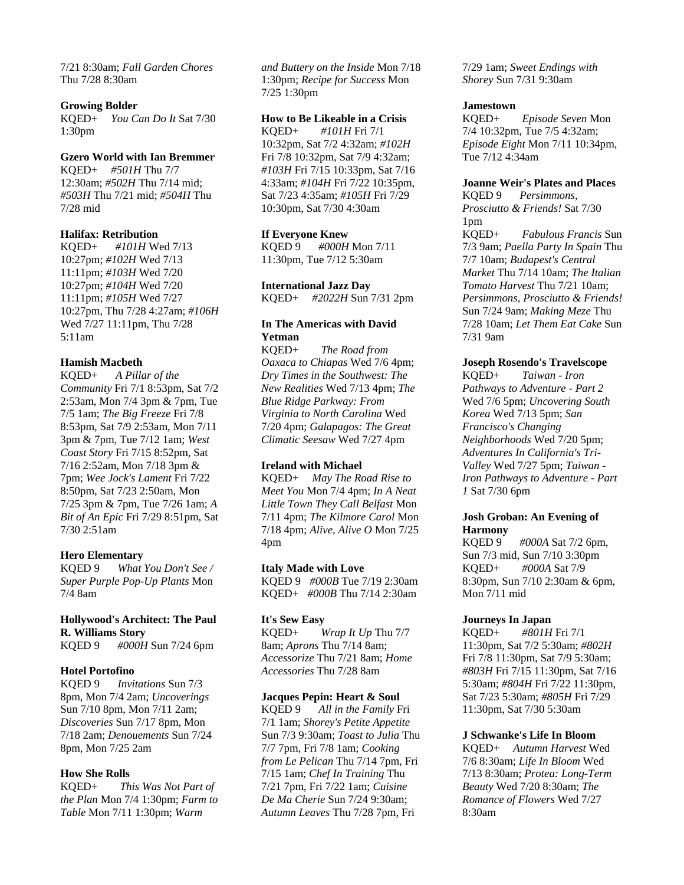7/21 8:30am; *Fall Garden Chores* Thu 7/28 8:30am

#### **Growing Bolder**

KQED+ *You Can Do It* Sat 7/30 1:30pm

#### **Gzero World with Ian Bremmer**

KQED+ *#501H* Thu 7/7 12:30am; *#502H* Thu 7/14 mid; *#503H* Thu 7/21 mid; *#504H* Thu 7/28 mid

## **Halifax: Retribution**

KQED+ *#101H* Wed 7/13 10:27pm; *#102H* Wed 7/13 11:11pm; *#103H* Wed 7/20 10:27pm; *#104H* Wed 7/20 11:11pm; *#105H* Wed 7/27 10:27pm, Thu 7/28 4:27am; *#106H* Wed 7/27 11:11pm, Thu 7/28 5:11am

#### **Hamish Macbeth**

KQED+ *A Pillar of the Community* Fri 7/1 8:53pm, Sat 7/2 2:53am, Mon 7/4 3pm & 7pm, Tue 7/5 1am; *The Big Freeze* Fri 7/8 8:53pm, Sat 7/9 2:53am, Mon 7/11 3pm & 7pm, Tue 7/12 1am; *West Coast Story* Fri 7/15 8:52pm, Sat 7/16 2:52am, Mon 7/18 3pm & 7pm; *Wee Jock's Lament* Fri 7/22 8:50pm, Sat 7/23 2:50am, Mon 7/25 3pm & 7pm, Tue 7/26 1am; *A Bit of An Epic* Fri 7/29 8:51pm, Sat 7/30 2:51am

## **Hero Elementary**

KQED 9 *What You Don't See / Super Purple Pop-Up Plants* Mon 7/4 8am

# **Hollywood's Architect: The Paul R. Williams Story**

KQED 9 *#000H* Sun 7/24 6pm

## **Hotel Portofino**

KQED 9 *Invitations* Sun 7/3 8pm, Mon 7/4 2am; *Uncoverings* Sun 7/10 8pm, Mon 7/11 2am; *Discoveries* Sun 7/17 8pm, Mon 7/18 2am; *Denouements* Sun 7/24 8pm, Mon 7/25 2am

## **How She Rolls**

KQED+ *This Was Not Part of the Plan* Mon 7/4 1:30pm; *Farm to Table* Mon 7/11 1:30pm; *Warm* 

*and Buttery on the Inside* Mon 7/18 1:30pm; *Recipe for Success* Mon 7/25 1:30pm

## **How to Be Likeable in a Crisis**

KQED+ *#101H* Fri 7/1 10:32pm, Sat 7/2 4:32am; *#102H* Fri 7/8 10:32pm, Sat 7/9 4:32am; *#103H* Fri 7/15 10:33pm, Sat 7/16 4:33am; *#104H* Fri 7/22 10:35pm, Sat 7/23 4:35am; *#105H* Fri 7/29 10:30pm, Sat 7/30 4:30am

## **If Everyone Knew**

KQED 9 *#000H* Mon 7/11 11:30pm, Tue 7/12 5:30am

#### **International Jazz Day**

**In The Americas with David** 

KQED+ *#2022H* Sun 7/31 2pm

**Yetman**

KQED+ *The Road from Oaxaca to Chiapas* Wed 7/6 4pm; *Dry Times in the Southwest: The New Realities* Wed 7/13 4pm; *The Blue Ridge Parkway: From Virginia to North Carolina* Wed 7/20 4pm; *Galapagos: The Great Climatic Seesaw* Wed 7/27 4pm

## **Ireland with Michael**

KQED+ *May The Road Rise to Meet You* Mon 7/4 4pm; *In A Neat Little Town They Call Belfast* Mon 7/11 4pm; *The Kilmore Carol* Mon 7/18 4pm; *Alive, Alive O* Mon 7/25 4pm

## **Italy Made with Love**

KQED 9 *#000B* Tue 7/19 2:30am KQED+ *#000B* Thu 7/14 2:30am

## **It's Sew Easy**

KQED+ *Wrap It Up* Thu 7/7 8am; *Aprons* Thu 7/14 8am; *Accessorize* Thu 7/21 8am; *Home Accessories* Thu 7/28 8am

#### **Jacques Pepin: Heart & Soul**

KQED 9 *All in the Family* Fri 7/1 1am; *Shorey's Petite Appetite* Sun 7/3 9:30am; *Toast to Julia* Thu 7/7 7pm, Fri 7/8 1am; *Cooking from Le Pelican* Thu 7/14 7pm, Fri 7/15 1am; *Chef In Training* Thu 7/21 7pm, Fri 7/22 1am; *Cuisine De Ma Cherie* Sun 7/24 9:30am; *Autumn Leaves* Thu 7/28 7pm, Fri

7/29 1am; *Sweet Endings with Shorey* Sun 7/31 9:30am

#### **Jamestown**

KQED+ *Episode Seven* Mon 7/4 10:32pm, Tue 7/5 4:32am; *Episode Eight* Mon 7/11 10:34pm, Tue 7/12 4:34am

## **Joanne Weir's Plates and Places**

KQED 9 *Persimmons, Prosciutto & Friends!* Sat 7/30 1pm KQED+ *Fabulous Francis* Sun 7/3 9am; *Paella Party In Spain* Thu 7/7 10am; *Budapest's Central Market* Thu 7/14 10am; *The Italian Tomato Harvest* Thu 7/21 10am; *Persimmons, Prosciutto & Friends!* Sun 7/24 9am; *Making Meze* Thu 7/28 10am; *Let Them Eat Cake* Sun 7/31 9am

## **Joseph Rosendo's Travelscope**

KQED+ *Taiwan - Iron Pathways to Adventure - Part 2* Wed 7/6 5pm; *Uncovering South Korea* Wed 7/13 5pm; *San Francisco's Changing Neighborhoods* Wed 7/20 5pm; *Adventures In California's Tri-Valley* Wed 7/27 5pm; *Taiwan - Iron Pathways to Adventure - Part 1* Sat 7/30 6pm

## **Josh Groban: An Evening of Harmony**

KQED 9 *#000A* Sat 7/2 6pm, Sun 7/3 mid, Sun 7/10 3:30pm KQED+ *#000A* Sat 7/9 8:30pm, Sun 7/10 2:30am & 6pm, Mon 7/11 mid

## **Journeys In Japan**

KQED+ *#801H* Fri 7/1 11:30pm, Sat 7/2 5:30am; *#802H* Fri 7/8 11:30pm, Sat 7/9 5:30am; *#803H* Fri 7/15 11:30pm, Sat 7/16 5:30am; *#804H* Fri 7/22 11:30pm, Sat 7/23 5:30am; *#805H* Fri 7/29 11:30pm, Sat 7/30 5:30am

## **J Schwanke's Life In Bloom**

KQED+ *Autumn Harvest* Wed 7/6 8:30am; *Life In Bloom* Wed 7/13 8:30am; *Protea: Long-Term Beauty* Wed 7/20 8:30am; *The Romance of Flowers* Wed 7/27 8:30am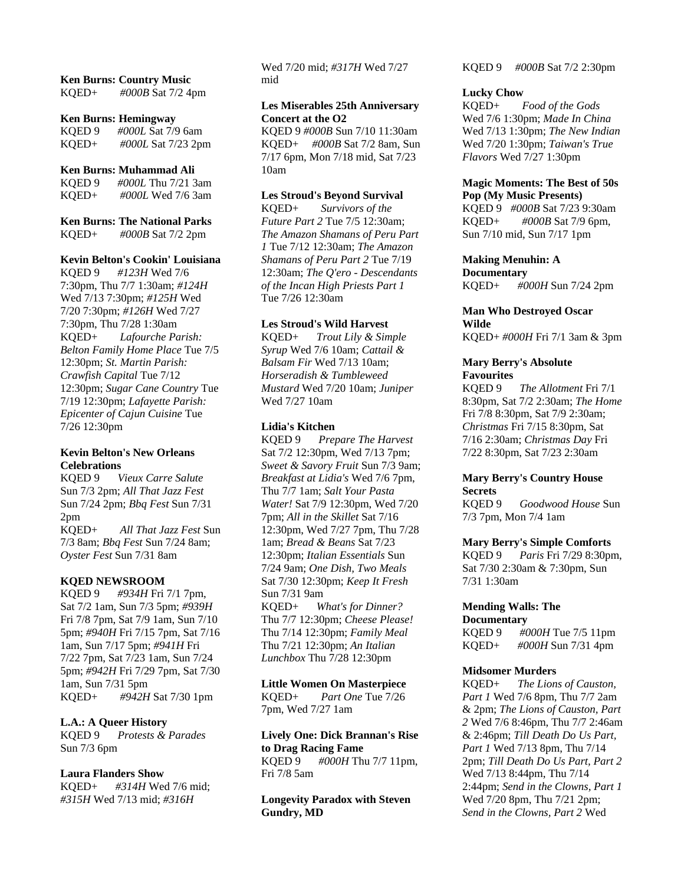## **Ken Burns: Country Music**

KQED+ *#000B* Sat 7/2 4pm

#### **Ken Burns: Hemingway**

KQED 9 *#000L* Sat 7/9 6am KQED+ *#000L* Sat 7/23 2pm

#### **Ken Burns: Muhammad Ali**

KQED 9 *#000L* Thu 7/21 3am KQED+ *#000L* Wed 7/6 3am

# **Ken Burns: The National Parks**

KQED+ *#000B* Sat 7/2 2pm

## **Kevin Belton's Cookin' Louisiana**

KQED 9 *#123H* Wed 7/6 7:30pm, Thu 7/7 1:30am; *#124H* Wed 7/13 7:30pm; *#125H* Wed 7/20 7:30pm; *#126H* Wed 7/27 7:30pm, Thu 7/28 1:30am KQED+ *Lafourche Parish: Belton Family Home Place* Tue 7/5 12:30pm; *St. Martin Parish: Crawfish Capital* Tue 7/12 12:30pm; *Sugar Cane Country* Tue 7/19 12:30pm; *Lafayette Parish: Epicenter of Cajun Cuisine* Tue 7/26 12:30pm

## **Kevin Belton's New Orleans Celebrations**

KQED 9 *Vieux Carre Salute* Sun 7/3 2pm; *All That Jazz Fest* Sun 7/24 2pm; *Bbq Fest* Sun 7/31 2pm KQED+ *All That Jazz Fest* Sun 7/3 8am; *Bbq Fest* Sun 7/24 8am; *Oyster Fest* Sun 7/31 8am

## **KQED NEWSROOM**

KQED 9 *#934H* Fri 7/1 7pm, Sat 7/2 1am, Sun 7/3 5pm; *#939H* Fri 7/8 7pm, Sat 7/9 1am, Sun 7/10 5pm; *#940H* Fri 7/15 7pm, Sat 7/16 1am, Sun 7/17 5pm; *#941H* Fri 7/22 7pm, Sat 7/23 1am, Sun 7/24 5pm; *#942H* Fri 7/29 7pm, Sat 7/30 1am, Sun 7/31 5pm KQED+ *#942H* Sat 7/30 1pm

## **L.A.: A Queer History**

KQED 9 *Protests & Parades* Sun 7/3 6pm

## **Laura Flanders Show**

KQED+ *#314H* Wed 7/6 mid; *#315H* Wed 7/13 mid; *#316H*

Wed 7/20 mid; *#317H* Wed 7/27 mid

## **Les Miserables 25th Anniversary Concert at the O2**

KQED 9 *#000B* Sun 7/10 11:30am KQED+ *#000B* Sat 7/2 8am, Sun 7/17 6pm, Mon 7/18 mid, Sat 7/23 10am

## **Les Stroud's Beyond Survival**

KQED+ *Survivors of the Future Part 2* Tue 7/5 12:30am; *The Amazon Shamans of Peru Part 1* Tue 7/12 12:30am; *The Amazon Shamans of Peru Part 2* Tue 7/19 12:30am; *The Q'ero - Descendants of the Incan High Priests Part 1* Tue 7/26 12:30am

## **Les Stroud's Wild Harvest**

KQED+ *Trout Lily & Simple Syrup* Wed 7/6 10am; *Cattail & Balsam Fir* Wed 7/13 10am; *Horseradish & Tumbleweed Mustard* Wed 7/20 10am; *Juniper* Wed 7/27 10am

## **Lidia's Kitchen**

KQED 9 *Prepare The Harvest* Sat 7/2 12:30pm, Wed 7/13 7pm; *Sweet & Savory Fruit* Sun 7/3 9am; *Breakfast at Lidia's* Wed 7/6 7pm, Thu 7/7 1am; *Salt Your Pasta Water!* Sat 7/9 12:30pm, Wed 7/20 7pm; *All in the Skillet* Sat 7/16 12:30pm, Wed 7/27 7pm, Thu 7/28 1am; *Bread & Beans* Sat 7/23 12:30pm; *Italian Essentials* Sun 7/24 9am; *One Dish, Two Meals* Sat 7/30 12:30pm; *Keep It Fresh* Sun 7/31 9am KQED+ *What's for Dinner?* Thu 7/7 12:30pm; *Cheese Please!* Thu 7/14 12:30pm; *Family Meal* Thu 7/21 12:30pm; *An Italian Lunchbox* Thu 7/28 12:30pm

## **Little Women On Masterpiece**

KQED+ *Part One* Tue 7/26 7pm, Wed 7/27 1am

**Lively One: Dick Brannan's Rise to Drag Racing Fame** KQED 9 *#000H* Thu 7/7 11pm, Fri 7/8 5am

**Longevity Paradox with Steven Gundry, MD**

KQED 9 *#000B* Sat 7/2 2:30pm

#### **Lucky Chow**

KQED+ *Food of the Gods* Wed 7/6 1:30pm; *Made In China* Wed 7/13 1:30pm; *The New Indian* Wed 7/20 1:30pm; *Taiwan's True Flavors* Wed 7/27 1:30pm

#### **Magic Moments: The Best of 50s Pop (My Music Presents)**

KQED 9 *#000B* Sat 7/23 9:30am KQED+ *#000B* Sat 7/9 6pm, Sun 7/10 mid, Sun 7/17 1pm

## **Making Menuhin: A**

**Documentary** KQED+ *#000H* Sun 7/24 2pm

## **Man Who Destroyed Oscar Wilde**

KQED+ *#000H* Fri 7/1 3am & 3pm

# **Mary Berry's Absolute Favourites**

The Allotment Fri 7/1 8:30pm, Sat 7/2 2:30am; *The Home* Fri 7/8 8:30pm, Sat 7/9 2:30am; *Christmas* Fri 7/15 8:30pm, Sat 7/16 2:30am; *Christmas Day* Fri 7/22 8:30pm, Sat 7/23 2:30am

## **Mary Berry's Country House Secrets**

KQED 9 *Goodwood House* Sun 7/3 7pm, Mon 7/4 1am

## **Mary Berry's Simple Comforts**

KQED 9 *Paris* Fri 7/29 8:30pm, Sat 7/30 2:30am & 7:30pm, Sun 7/31 1:30am

# **Mending Walls: The**

**Documentary** KQED 9 *#000H* Tue 7/5 11pm KQED+ *#000H* Sun 7/31 4pm

## **Midsomer Murders**

KQED+ *The Lions of Causton, Part 1* Wed 7/6 8pm, Thu 7/7 2am & 2pm; *The Lions of Causton, Part 2* Wed 7/6 8:46pm, Thu 7/7 2:46am & 2:46pm; *Till Death Do Us Part, Part 1* Wed 7/13 8pm, Thu 7/14 2pm; *Till Death Do Us Part, Part 2* Wed 7/13 8:44pm, Thu 7/14 2:44pm; *Send in the Clowns, Part 1* Wed 7/20 8pm, Thu 7/21 2pm; *Send in the Clowns, Part 2* Wed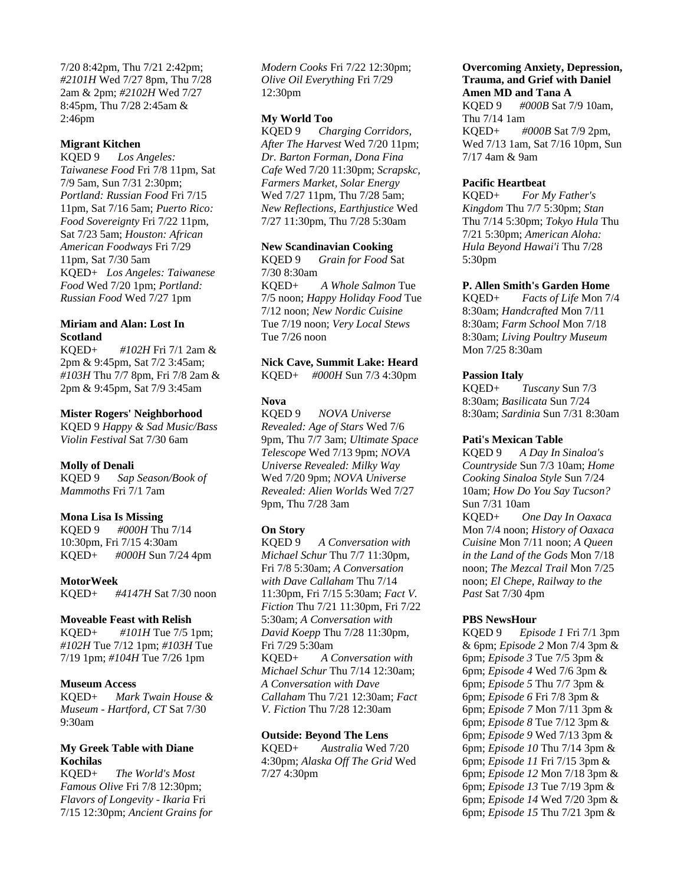7/20 8:42pm, Thu 7/21 2:42pm; *#2101H* Wed 7/27 8pm, Thu 7/28 2am & 2pm; *#2102H* Wed 7/27 8:45pm, Thu 7/28 2:45am & 2:46pm

## **Migrant Kitchen**

KQED 9 *Los Angeles: Taiwanese Food* Fri 7/8 11pm, Sat 7/9 5am, Sun 7/31 2:30pm; *Portland: Russian Food* Fri 7/15 11pm, Sat 7/16 5am; *Puerto Rico: Food Sovereignty* Fri 7/22 11pm, Sat 7/23 5am; *Houston: African American Foodways* Fri 7/29 11pm, Sat 7/30 5am KQED+ *Los Angeles: Taiwanese Food* Wed 7/20 1pm; *Portland: Russian Food* Wed 7/27 1pm

## **Miriam and Alan: Lost In Scotland**

KQED+ *#102H* Fri 7/1 2am & 2pm & 9:45pm, Sat 7/2 3:45am; *#103H* Thu 7/7 8pm, Fri 7/8 2am & 2pm & 9:45pm, Sat 7/9 3:45am

## **Mister Rogers' Neighborhood**

KQED 9 *Happy & Sad Music/Bass Violin Festival* Sat 7/30 6am

## **Molly of Denali**

KQED 9 *Sap Season/Book of Mammoths* Fri 7/1 7am

## **Mona Lisa Is Missing**

KQED 9 *#000H* Thu 7/14 10:30pm, Fri 7/15 4:30am KQED+ *#000H* Sun 7/24 4pm

**MotorWeek** KQED+ *#4147H* Sat 7/30 noon

## **Moveable Feast with Relish**

KQED+ *#101H* Tue 7/5 1pm; *#102H* Tue 7/12 1pm; *#103H* Tue 7/19 1pm; *#104H* Tue 7/26 1pm

## **Museum Access**

KQED+ *Mark Twain House & Museum - Hartford, CT* Sat 7/30 9:30am

## **My Greek Table with Diane Kochilas**

KQED+ *The World's Most Famous Olive* Fri 7/8 12:30pm; *Flavors of Longevity - Ikaria* Fri 7/15 12:30pm; *Ancient Grains for*  *Modern Cooks* Fri 7/22 12:30pm; *Olive Oil Everything* Fri 7/29 12:30pm

## **My World Too**

KQED 9 *Charging Corridors, After The Harvest* Wed 7/20 11pm; *Dr. Barton Forman, Dona Fina Cafe* Wed 7/20 11:30pm; *Scrapskc, Farmers Market, Solar Energy* Wed 7/27 11pm, Thu 7/28 5am; *New Reflections, Earthjustice* Wed 7/27 11:30pm, Thu 7/28 5:30am

## **New Scandinavian Cooking**

KQED 9 *Grain for Food* Sat 7/30 8:30am KQED+ *A Whole Salmon* Tue 7/5 noon; *Happy Holiday Food* Tue 7/12 noon; *New Nordic Cuisine* Tue 7/19 noon; *Very Local Stews* Tue 7/26 noon

## **Nick Cave, Summit Lake: Heard**

KQED+ *#000H* Sun 7/3 4:30pm

## **Nova**

KQED 9 *NOVA Universe Revealed: Age of Stars* Wed 7/6 9pm, Thu 7/7 3am; *Ultimate Space Telescope* Wed 7/13 9pm; *NOVA Universe Revealed: Milky Way* Wed 7/20 9pm; *NOVA Universe Revealed: Alien Worlds* Wed 7/27 9pm, Thu 7/28 3am

## **On Story**

KQED 9 *A Conversation with Michael Schur* Thu 7/7 11:30pm, Fri 7/8 5:30am; *A Conversation with Dave Callaham* Thu 7/14 11:30pm, Fri 7/15 5:30am; *Fact V. Fiction* Thu 7/21 11:30pm, Fri 7/22 5:30am; *A Conversation with David Koepp* Thu 7/28 11:30pm, Fri 7/29 5:30am KQED+ *A Conversation with Michael Schur* Thu 7/14 12:30am; *A Conversation with Dave Callaham* Thu 7/21 12:30am; *Fact V. Fiction* Thu 7/28 12:30am

## **Outside: Beyond The Lens**

KQED+ *Australia* Wed 7/20 4:30pm; *Alaska Off The Grid* Wed 7/27 4:30pm

## **Overcoming Anxiety, Depression, Trauma, and Grief with Daniel Amen MD and Tana A**

KQED 9 *#000B* Sat 7/9 10am, Thu 7/14 1am KQED+ *#000B* Sat 7/9 2pm, Wed 7/13 1am, Sat 7/16 10pm, Sun 7/17 4am & 9am

#### **Pacific Heartbeat**

KQED+ *For My Father's Kingdom* Thu 7/7 5:30pm; *Stan* Thu 7/14 5:30pm; *Tokyo Hula* Thu 7/21 5:30pm; *American Aloha: Hula Beyond Hawai'i* Thu 7/28 5:30pm

## **P. Allen Smith's Garden Home**

KQED+ *Facts of Life* Mon 7/4 8:30am; *Handcrafted* Mon 7/11 8:30am; *Farm School* Mon 7/18 8:30am; *Living Poultry Museum* Mon 7/25 8:30am

# **Passion Italy**<br>KQED+

Tuscany Sun 7/3 8:30am; *Basilicata* Sun 7/24 8:30am; *Sardinia* Sun 7/31 8:30am

## **Pati's Mexican Table**

KQED 9 *A Day In Sinaloa's Countryside* Sun 7/3 10am; *Home Cooking Sinaloa Style* Sun 7/24 10am; *How Do You Say Tucson?* Sun 7/31 10am KQED+ *One Day In Oaxaca* Mon 7/4 noon; *History of Oaxaca*

*Cuisine* Mon 7/11 noon; *A Queen in the Land of the Gods* Mon 7/18 noon; *The Mezcal Trail* Mon 7/25 noon; *El Chepe, Railway to the Past* Sat 7/30 4pm

## **PBS NewsHour**

KQED 9 *Episode 1* Fri 7/1 3pm & 6pm; *Episode 2* Mon 7/4 3pm & 6pm; *Episode 3* Tue 7/5 3pm & 6pm; *Episode 4* Wed 7/6 3pm & 6pm; *Episode 5* Thu 7/7 3pm & 6pm; *Episode 6* Fri 7/8 3pm & 6pm; *Episode 7* Mon 7/11 3pm & 6pm; *Episode 8* Tue 7/12 3pm & 6pm; *Episode 9* Wed 7/13 3pm & 6pm; *Episode 10* Thu 7/14 3pm & 6pm; *Episode 11* Fri 7/15 3pm & 6pm; *Episode 12* Mon 7/18 3pm & 6pm; *Episode 13* Tue 7/19 3pm & 6pm; *Episode 14* Wed 7/20 3pm & 6pm; *Episode 15* Thu 7/21 3pm &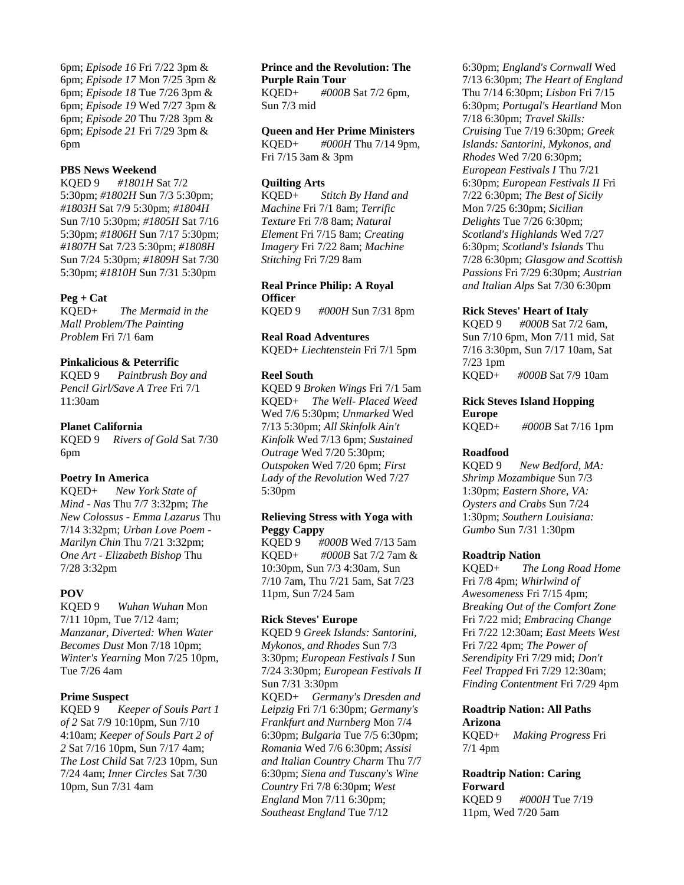6pm; *Episode 16* Fri 7/22 3pm & 6pm; *Episode 17* Mon 7/25 3pm & 6pm; *Episode 18* Tue 7/26 3pm & 6pm; *Episode 19* Wed 7/27 3pm & 6pm; *Episode 20* Thu 7/28 3pm & 6pm; *Episode 21* Fri 7/29 3pm & 6pm

#### **PBS News Weekend**

KQED 9 *#1801H* Sat 7/2 5:30pm; *#1802H* Sun 7/3 5:30pm; *#1803H* Sat 7/9 5:30pm; *#1804H* Sun 7/10 5:30pm; *#1805H* Sat 7/16 5:30pm; *#1806H* Sun 7/17 5:30pm; *#1807H* Sat 7/23 5:30pm; *#1808H* Sun 7/24 5:30pm; *#1809H* Sat 7/30 5:30pm; *#1810H* Sun 7/31 5:30pm

#### **Peg + Cat**

KQED+ *The Mermaid in the Mall Problem/The Painting Problem* Fri 7/1 6am

#### **Pinkalicious & Peterrific**

KQED 9 *Paintbrush Boy and Pencil Girl/Save A Tree* Fri 7/1 11:30am

#### **Planet California**

KQED 9 *Rivers of Gold* Sat 7/30 6pm

## **Poetry In America**

KQED+ *New York State of Mind - Nas* Thu 7/7 3:32pm; *The New Colossus - Emma Lazarus* Thu 7/14 3:32pm; *Urban Love Poem - Marilyn Chin* Thu 7/21 3:32pm; *One Art - Elizabeth Bishop* Thu 7/28 3:32pm

## **POV**

KQED 9 *Wuhan Wuhan* Mon 7/11 10pm, Tue 7/12 4am; *Manzanar, Diverted: When Water Becomes Dust* Mon 7/18 10pm; *Winter's Yearning* Mon 7/25 10pm, Tue 7/26 4am

## **Prime Suspect**

KQED 9 *Keeper of Souls Part 1 of 2* Sat 7/9 10:10pm, Sun 7/10 4:10am; *Keeper of Souls Part 2 of 2* Sat 7/16 10pm, Sun 7/17 4am; *The Lost Child* Sat 7/23 10pm, Sun 7/24 4am; *Inner Circles* Sat 7/30 10pm, Sun 7/31 4am

#### **Prince and the Revolution: The Purple Rain Tour**

KQED+ *#000B* Sat 7/2 6pm, Sun 7/3 mid

## **Queen and Her Prime Ministers**

KQED+ *#000H* Thu 7/14 9pm, Fri 7/15 3am & 3pm

## **Quilting Arts**

KQED+ *Stitch By Hand and Machine* Fri 7/1 8am; *Terrific Texture* Fri 7/8 8am; *Natural Element* Fri 7/15 8am; *Creating Imagery* Fri 7/22 8am; *Machine Stitching* Fri 7/29 8am

## **Real Prince Philip: A Royal Officer**

KQED 9 *#000H* Sun 7/31 8pm

#### **Real Road Adventures**

KQED+ *Liechtenstein* Fri 7/1 5pm

#### **Reel South**

KQED 9 *Broken Wings* Fri 7/1 5am KQED+ *The Well- Placed Weed* Wed 7/6 5:30pm; *Unmarked* Wed 7/13 5:30pm; *All Skinfolk Ain't Kinfolk* Wed 7/13 6pm; *Sustained Outrage* Wed 7/20 5:30pm; *Outspoken* Wed 7/20 6pm; *First Lady of the Revolution* Wed 7/27 5:30pm

## **Relieving Stress with Yoga with Peggy Cappy**

KQED 9 *#000B* Wed 7/13 5am KQED+ *#000B* Sat 7/2 7am & 10:30pm, Sun 7/3 4:30am, Sun 7/10 7am, Thu 7/21 5am, Sat 7/23 11pm, Sun 7/24 5am

## **Rick Steves' Europe**

KQED 9 *Greek Islands: Santorini, Mykonos, and Rhodes* Sun 7/3 3:30pm; *European Festivals I* Sun 7/24 3:30pm; *European Festivals II* Sun 7/31 3:30pm KQED+ *Germany's Dresden and Leipzig* Fri 7/1 6:30pm; *Germany's Frankfurt and Nurnberg* Mon 7/4 6:30pm; *Bulgaria* Tue 7/5 6:30pm; *Romania* Wed 7/6 6:30pm; *Assisi and Italian Country Charm* Thu 7/7 6:30pm; *Siena and Tuscany's Wine Country* Fri 7/8 6:30pm; *West England* Mon 7/11 6:30pm; *Southeast England* Tue 7/12

6:30pm; *England's Cornwall* Wed 7/13 6:30pm; *The Heart of England* Thu 7/14 6:30pm; *Lisbon* Fri 7/15 6:30pm; *Portugal's Heartland* Mon 7/18 6:30pm; *Travel Skills: Cruising* Tue 7/19 6:30pm; *Greek Islands: Santorini, Mykonos, and Rhodes* Wed 7/20 6:30pm; *European Festivals I* Thu 7/21 6:30pm; *European Festivals II* Fri 7/22 6:30pm; *The Best of Sicily* Mon 7/25 6:30pm; *Sicilian Delights* Tue 7/26 6:30pm; *Scotland's Highlands* Wed 7/27 6:30pm; *Scotland's Islands* Thu 7/28 6:30pm; *Glasgow and Scottish Passions* Fri 7/29 6:30pm; *Austrian and Italian Alps* Sat 7/30 6:30pm

#### **Rick Steves' Heart of Italy**

KQED 9 *#000B* Sat 7/2 6am, Sun 7/10 6pm, Mon 7/11 mid, Sat 7/16 3:30pm, Sun 7/17 10am, Sat 7/23 1pm KQED+ *#000B* Sat 7/9 10am

## **Rick Steves Island Hopping Europe**

KQED+ *#000B* Sat 7/16 1pm

#### **Roadfood**

KQED 9 *New Bedford, MA: Shrimp Mozambique* Sun 7/3 1:30pm; *Eastern Shore, VA: Oysters and Crabs* Sun 7/24 1:30pm; *Southern Louisiana: Gumbo* Sun 7/31 1:30pm

#### **Roadtrip Nation**

KQED+ *The Long Road Home* Fri 7/8 4pm; *Whirlwind of Awesomeness* Fri 7/15 4pm; *Breaking Out of the Comfort Zone* Fri 7/22 mid; *Embracing Change* Fri 7/22 12:30am; *East Meets West* Fri 7/22 4pm; *The Power of Serendipity* Fri 7/29 mid; *Don't Feel Trapped* Fri 7/29 12:30am; *Finding Contentment* Fri 7/29 4pm

## **Roadtrip Nation: All Paths Arizona**

KQED+ *Making Progress* Fri 7/1 4pm

## **Roadtrip Nation: Caring Forward**

KQED 9 *#000H* Tue 7/19 11pm, Wed 7/20 5am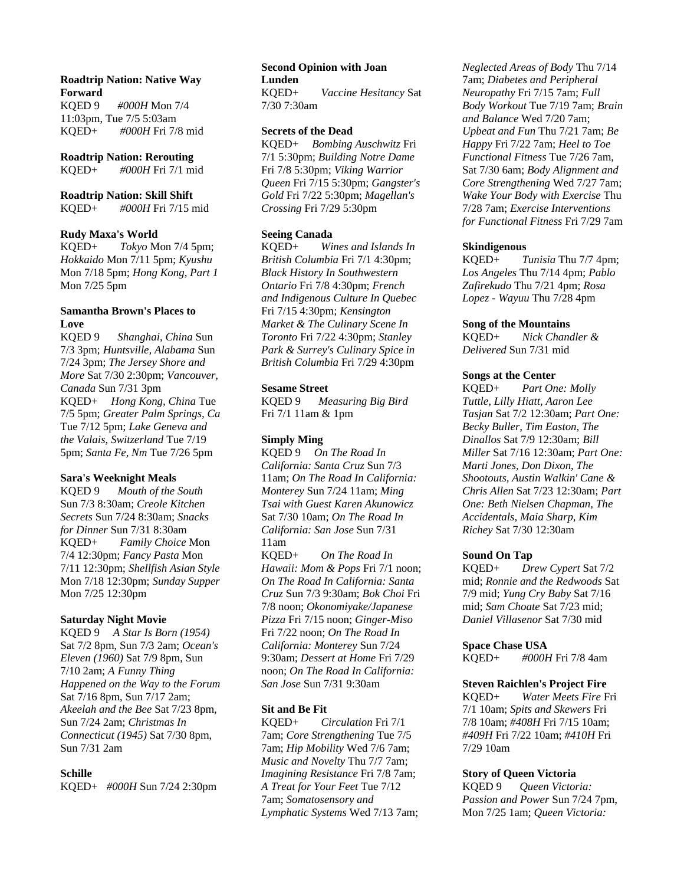## **Roadtrip Nation: Native Way Forward**

KQED 9 *#000H* Mon 7/4 11:03pm, Tue 7/5 5:03am KQED+ *#000H* Fri 7/8 mid

**Roadtrip Nation: Rerouting** KQED+ *#000H* Fri 7/1 mid

## **Roadtrip Nation: Skill Shift**

KQED+ *#000H* Fri 7/15 mid

## **Rudy Maxa's World**

KQED+ *Tokyo* Mon 7/4 5pm; *Hokkaido* Mon 7/11 5pm; *Kyushu* Mon 7/18 5pm; *Hong Kong, Part 1* Mon 7/25 5pm

## **Samantha Brown's Places to Love**

KQED 9 *Shanghai, China* Sun 7/3 3pm; *Huntsville, Alabama* Sun 7/24 3pm; *The Jersey Shore and More* Sat 7/30 2:30pm; *Vancouver, Canada* Sun 7/31 3pm KQED+ *Hong Kong, China* Tue 7/5 5pm; *Greater Palm Springs, Ca* Tue 7/12 5pm; *Lake Geneva and the Valais, Switzerland* Tue 7/19 5pm; *Santa Fe, Nm* Tue 7/26 5pm

## **Sara's Weeknight Meals**

KQED 9 *Mouth of the South* Sun 7/3 8:30am; *Creole Kitchen Secrets* Sun 7/24 8:30am; *Snacks for Dinner* Sun 7/31 8:30am KQED+ *Family Choice* Mon 7/4 12:30pm; *Fancy Pasta* Mon 7/11 12:30pm; *Shellfish Asian Style* Mon 7/18 12:30pm; *Sunday Supper* Mon 7/25 12:30pm

## **Saturday Night Movie**

KQED 9 *A Star Is Born (1954)* Sat 7/2 8pm, Sun 7/3 2am; *Ocean's Eleven (1960)* Sat 7/9 8pm, Sun 7/10 2am; *A Funny Thing Happened on the Way to the Forum* Sat 7/16 8pm, Sun 7/17 2am; *Akeelah and the Bee* Sat 7/23 8pm, Sun 7/24 2am; *Christmas In Connecticut (1945)* Sat 7/30 8pm, Sun 7/31 2am

## **Schille**

KQED+ *#000H* Sun 7/24 2:30pm

#### **Second Opinion with Joan Lunden**

KQED+ *Vaccine Hesitancy* Sat 7/30 7:30am

## **Secrets of the Dead**

KQED+ *Bombing Auschwitz* Fri 7/1 5:30pm; *Building Notre Dame* Fri 7/8 5:30pm; *Viking Warrior Queen* Fri 7/15 5:30pm; *Gangster's Gold* Fri 7/22 5:30pm; *Magellan's Crossing* Fri 7/29 5:30pm

## **Seeing Canada**

KQED+ *Wines and Islands In British Columbia* Fri 7/1 4:30pm; *Black History In Southwestern Ontario* Fri 7/8 4:30pm; *French and Indigenous Culture In Quebec* Fri 7/15 4:30pm; *Kensington Market & The Culinary Scene In Toronto* Fri 7/22 4:30pm; *Stanley Park & Surrey's Culinary Spice in British Columbia* Fri 7/29 4:30pm

## **Sesame Street**

KQED 9 *Measuring Big Bird* Fri 7/1 11am & 1pm

## **Simply Ming**

KQED 9 *On The Road In California: Santa Cruz* Sun 7/3 11am; *On The Road In California: Monterey* Sun 7/24 11am; *Ming Tsai with Guest Karen Akunowicz* Sat 7/30 10am; *On The Road In California: San Jose* Sun 7/31 11am

KQED+ *On The Road In Hawaii: Mom & Pops* Fri 7/1 noon; *On The Road In California: Santa Cruz* Sun 7/3 9:30am; *Bok Choi* Fri 7/8 noon; *Okonomiyake/Japanese Pizza* Fri 7/15 noon; *Ginger-Miso* Fri 7/22 noon; *On The Road In California: Monterey* Sun 7/24 9:30am; *Dessert at Home* Fri 7/29 noon; *On The Road In California: San Jose* Sun 7/31 9:30am

## **Sit and Be Fit**

KQED+ *Circulation* Fri 7/1 7am; *Core Strengthening* Tue 7/5 7am; *Hip Mobility* Wed 7/6 7am; *Music and Novelty* Thu 7/7 7am; *Imagining Resistance* Fri 7/8 7am; *A Treat for Your Feet* Tue 7/12 7am; *Somatosensory and Lymphatic Systems* Wed 7/13 7am;

*Neglected Areas of Body* Thu 7/14 7am; *Diabetes and Peripheral Neuropathy* Fri 7/15 7am; *Full Body Workout* Tue 7/19 7am; *Brain and Balance* Wed 7/20 7am; *Upbeat and Fun* Thu 7/21 7am; *Be Happy* Fri 7/22 7am; *Heel to Toe Functional Fitness* Tue 7/26 7am, Sat 7/30 6am; *Body Alignment and Core Strengthening* Wed 7/27 7am; *Wake Your Body with Exercise* Thu 7/28 7am; *Exercise Interventions for Functional Fitness* Fri 7/29 7am

## **Skindigenous**

KQED+ *Tunisia* Thu 7/7 4pm; *Los Angeles* Thu 7/14 4pm; *Pablo Zafirekudo* Thu 7/21 4pm; *Rosa Lopez - Wayuu* Thu 7/28 4pm

## **Song of the Mountains**

KQED+ *Nick Chandler & Delivered* Sun 7/31 mid

## **Songs at the Center**

KQED+ *Part One: Molly Tuttle, Lilly Hiatt, Aaron Lee Tasjan* Sat 7/2 12:30am; *Part One: Becky Buller, Tim Easton, The Dinallos* Sat 7/9 12:30am; *Bill Miller* Sat 7/16 12:30am; *Part One: Marti Jones, Don Dixon, The Shootouts, Austin Walkin' Cane & Chris Allen* Sat 7/23 12:30am; *Part One: Beth Nielsen Chapman, The Accidentals, Maia Sharp, Kim Richey* Sat 7/30 12:30am

## **Sound On Tap**

KQED+ *Drew Cypert* Sat 7/2 mid; *Ronnie and the Redwoods* Sat 7/9 mid; *Yung Cry Baby* Sat 7/16 mid; *Sam Choate* Sat 7/23 mid; *Daniel Villasenor* Sat 7/30 mid

## **Space Chase USA**

KQED+ *#000H* Fri 7/8 4am

## **Steven Raichlen's Project Fire**

KQED+ *Water Meets Fire* Fri 7/1 10am; *Spits and Skewers* Fri 7/8 10am; *#408H* Fri 7/15 10am; *#409H* Fri 7/22 10am; *#410H* Fri 7/29 10am

## **Story of Queen Victoria**

KQED 9 *Queen Victoria: Passion and Power* Sun 7/24 7pm, Mon 7/25 1am; *Queen Victoria:*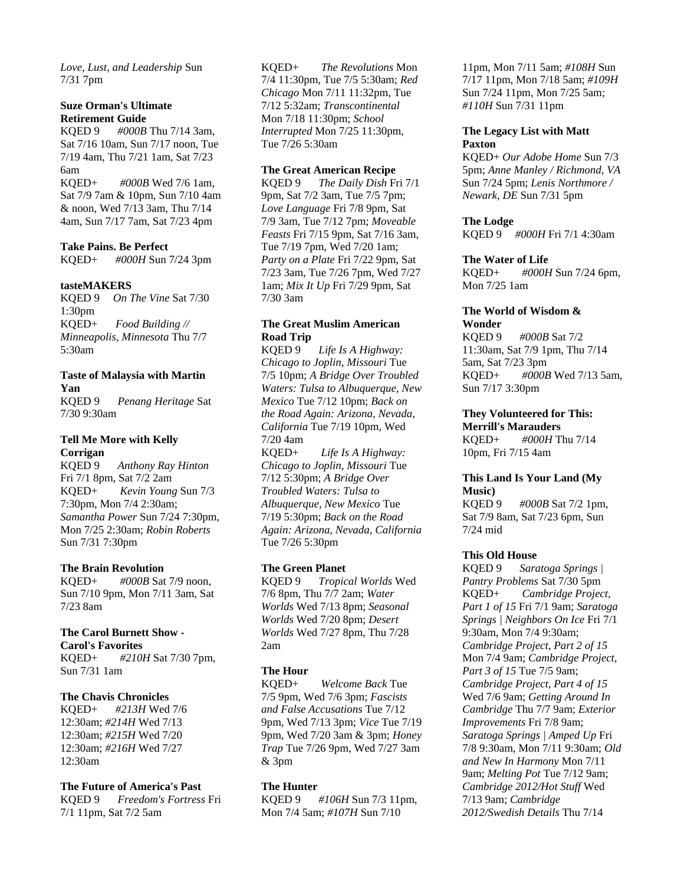*Love, Lust, and Leadership* Sun 7/31 7pm

#### **Suze Orman's Ultimate Retirement Guide**

KQED 9 *#000B* Thu 7/14 3am, Sat 7/16 10am, Sun 7/17 noon, Tue 7/19 4am, Thu 7/21 1am, Sat 7/23 6am KQED+ *#000B* Wed 7/6 1am, Sat 7/9 7am & 10pm, Sun 7/10 4am & noon, Wed 7/13 3am, Thu 7/14 4am, Sun 7/17 7am, Sat 7/23 4pm

## **Take Pains. Be Perfect**

KQED+ *#000H* Sun 7/24 3pm

#### **tasteMAKERS**

KQED 9 *On The Vine* Sat 7/30 1:30pm KQED+ *Food Building // Minneapolis, Minnesota* Thu 7/7 5:30am

# **Taste of Malaysia with Martin Yan**

KQED 9 *Penang Heritage* Sat 7/30 9:30am

## **Tell Me More with Kelly Corrigan**

KQED 9 *Anthony Ray Hinton* Fri 7/1 8pm, Sat 7/2 2am KQED+ *Kevin Young* Sun 7/3 7:30pm, Mon 7/4 2:30am; *Samantha Power* Sun 7/24 7:30pm, Mon 7/25 2:30am; *Robin Roberts* Sun 7/31 7:30pm

## **The Brain Revolution**

KQED+ *#000B* Sat 7/9 noon, Sun 7/10 9pm, Mon 7/11 3am, Sat 7/23 8am

#### **The Carol Burnett Show - Carol's Favorites**

KQED+ *#210H* Sat 7/30 7pm, Sun 7/31 1am

## **The Chavis Chronicles**

KQED+ *#213H* Wed 7/6 12:30am; *#214H* Wed 7/13 12:30am; *#215H* Wed 7/20 12:30am; *#216H* Wed 7/27 12:30am

## **The Future of America's Past**

KQED 9 *Freedom's Fortress* Fri 7/1 11pm, Sat 7/2 5am

KQED+ *The Revolutions* Mon 7/4 11:30pm, Tue 7/5 5:30am; *Red Chicago* Mon 7/11 11:32pm, Tue 7/12 5:32am; *Transcontinental* Mon 7/18 11:30pm; *School Interrupted* Mon 7/25 11:30pm, Tue 7/26 5:30am

#### **The Great American Recipe**

KQED 9 *The Daily Dish* Fri 7/1 9pm, Sat 7/2 3am, Tue 7/5 7pm; *Love Language* Fri 7/8 9pm, Sat 7/9 3am, Tue 7/12 7pm; *Moveable Feasts* Fri 7/15 9pm, Sat 7/16 3am, Tue 7/19 7pm, Wed 7/20 1am; *Party on a Plate* Fri 7/22 9pm, Sat 7/23 3am, Tue 7/26 7pm, Wed 7/27 1am; *Mix It Up* Fri 7/29 9pm, Sat 7/30 3am

## **The Great Muslim American Road Trip**

KQED 9 *Life Is A Highway: Chicago to Joplin, Missouri* Tue 7/5 10pm; *A Bridge Over Troubled Waters: Tulsa to Albuquerque, New Mexico* Tue 7/12 10pm; *Back on the Road Again: Arizona, Nevada, California* Tue 7/19 10pm, Wed 7/20 4am

KQED+ *Life Is A Highway: Chicago to Joplin, Missouri* Tue 7/12 5:30pm; *A Bridge Over Troubled Waters: Tulsa to Albuquerque, New Mexico* Tue 7/19 5:30pm; *Back on the Road Again: Arizona, Nevada, California* Tue 7/26 5:30pm

## **The Green Planet**

KQED 9 *Tropical Worlds* Wed 7/6 8pm, Thu 7/7 2am; *Water Worlds* Wed 7/13 8pm; *Seasonal Worlds* Wed 7/20 8pm; *Desert Worlds* Wed 7/27 8pm, Thu 7/28 2am

## **The Hour**

KQED+ *Welcome Back* Tue 7/5 9pm, Wed 7/6 3pm; *Fascists and False Accusations* Tue 7/12 9pm, Wed 7/13 3pm; *Vice* Tue 7/19 9pm, Wed 7/20 3am & 3pm; *Honey Trap* Tue 7/26 9pm, Wed 7/27 3am & 3pm

## **The Hunter**

KQED 9 *#106H* Sun 7/3 11pm, Mon 7/4 5am; *#107H* Sun 7/10

11pm, Mon 7/11 5am; *#108H* Sun 7/17 11pm, Mon 7/18 5am; *#109H* Sun 7/24 11pm, Mon 7/25 5am; *#110H* Sun 7/31 11pm

## **The Legacy List with Matt Paxton**

KQED+ *Our Adobe Home* Sun 7/3 5pm; *Anne Manley / Richmond, VA* Sun 7/24 5pm; *Lenis Northmore / Newark, DE* Sun 7/31 5pm

## **The Lodge**

KQED 9 *#000H* Fri 7/1 4:30am

## **The Water of Life**

KQED+ *#000H* Sun 7/24 6pm, Mon 7/25 1am

# **The World of Wisdom &**

**Wonder** KQED 9 *#000B* Sat 7/2 11:30am, Sat 7/9 1pm, Thu 7/14 5am, Sat 7/23 3pm KQED+ *#000B* Wed 7/13 5am, Sun 7/17 3:30pm

#### **They Volunteered for This: Merrill's Marauders**

KQED+ *#000H* Thu 7/14 10pm, Fri 7/15 4am

## **This Land Is Your Land (My Music)**

KQED 9 *#000B* Sat 7/2 1pm, Sat 7/9 8am, Sat 7/23 6pm, Sun 7/24 mid

## **This Old House**

KQED 9 *Saratoga Springs | Pantry Problems* Sat 7/30 5pm KQED+ *Cambridge Project, Part 1 of 15* Fri 7/1 9am; *Saratoga Springs | Neighbors On Ice* Fri 7/1 9:30am, Mon 7/4 9:30am; *Cambridge Project, Part 2 of 15* Mon 7/4 9am; *Cambridge Project, Part 3 of 15* Tue 7/5 9am; *Cambridge Project, Part 4 of 15* Wed 7/6 9am; *Getting Around In Cambridge* Thu 7/7 9am; *Exterior Improvements* Fri 7/8 9am; *Saratoga Springs | Amped Up* Fri 7/8 9:30am, Mon 7/11 9:30am; *Old and New In Harmony* Mon 7/11 9am; *Melting Pot* Tue 7/12 9am; *Cambridge 2012/Hot Stuff* Wed 7/13 9am; *Cambridge 2012/Swedish Details* Thu 7/14